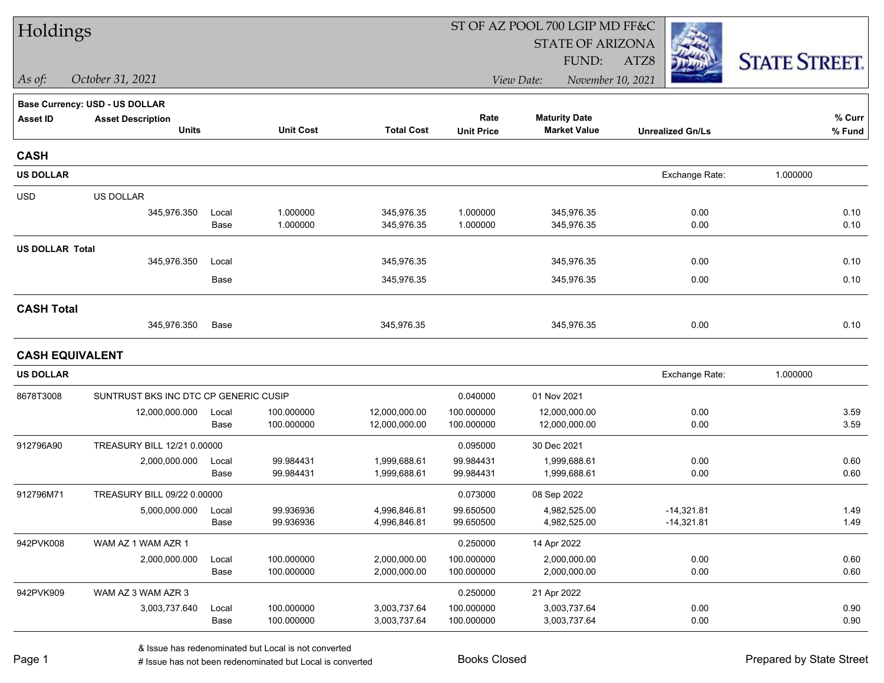| Holdings               |                                       |       |                  |                   |                   | ST OF AZ POOL 700 LGIP MD FF&C  |                         |                      |
|------------------------|---------------------------------------|-------|------------------|-------------------|-------------------|---------------------------------|-------------------------|----------------------|
|                        |                                       |       |                  |                   |                   | <b>STATE OF ARIZONA</b>         |                         |                      |
|                        |                                       |       |                  |                   |                   | FUND:                           | ATZ8                    | <b>STATE STREET.</b> |
| $\vert$ As of:         | October 31, 2021                      |       |                  |                   |                   | View Date:<br>November 10, 2021 |                         |                      |
|                        | <b>Base Currency: USD - US DOLLAR</b> |       |                  |                   |                   |                                 |                         |                      |
| <b>Asset ID</b>        | <b>Asset Description</b>              |       |                  |                   | Rate              | <b>Maturity Date</b>            |                         | % Curr               |
|                        | <b>Units</b>                          |       | <b>Unit Cost</b> | <b>Total Cost</b> | <b>Unit Price</b> | <b>Market Value</b>             | <b>Unrealized Gn/Ls</b> | % Fund               |
| <b>CASH</b>            |                                       |       |                  |                   |                   |                                 |                         |                      |
| <b>US DOLLAR</b>       |                                       |       |                  |                   |                   |                                 | Exchange Rate:          | 1.000000             |
| <b>USD</b>             | <b>US DOLLAR</b>                      |       |                  |                   |                   |                                 |                         |                      |
|                        | 345,976.350                           | Local | 1.000000         | 345,976.35        | 1.000000          | 345,976.35                      | 0.00                    | 0.10                 |
|                        |                                       | Base  | 1.000000         | 345,976.35        | 1.000000          | 345,976.35                      | 0.00                    | 0.10                 |
| <b>US DOLLAR Total</b> |                                       |       |                  |                   |                   |                                 |                         |                      |
|                        | 345,976.350                           | Local |                  | 345,976.35        |                   | 345,976.35                      | 0.00                    | 0.10                 |
|                        |                                       | Base  |                  | 345,976.35        |                   | 345,976.35                      | 0.00                    | 0.10                 |
| <b>CASH Total</b>      |                                       |       |                  |                   |                   |                                 |                         |                      |
|                        | 345,976.350                           | Base  |                  | 345,976.35        |                   | 345,976.35                      | 0.00                    | 0.10                 |
| <b>CASH EQUIVALENT</b> |                                       |       |                  |                   |                   |                                 |                         |                      |
| <b>US DOLLAR</b>       |                                       |       |                  |                   |                   |                                 | Exchange Rate:          | 1.000000             |
| 8678T3008              | SUNTRUST BKS INC DTC CP GENERIC CUSIP |       |                  |                   | 0.040000          | 01 Nov 2021                     |                         |                      |
|                        | 12,000,000.000                        | Local | 100.000000       | 12,000,000.00     | 100.000000        | 12,000,000.00                   | 0.00                    | 3.59                 |
|                        |                                       | Base  | 100.000000       | 12,000,000.00     | 100.000000        | 12,000,000.00                   | 0.00                    | 3.59                 |
| 912796A90              | TREASURY BILL 12/21 0.00000           |       |                  |                   | 0.095000          | 30 Dec 2021                     |                         |                      |
|                        | 2,000,000.000                         | Local | 99.984431        | 1,999,688.61      | 99.984431         | 1,999,688.61                    | 0.00                    | 0.60                 |
|                        |                                       | Base  | 99.984431        | 1,999,688.61      | 99.984431         | 1,999,688.61                    | 0.00                    | 0.60                 |
| 912796M71              | TREASURY BILL 09/22 0.00000           |       |                  |                   | 0.073000          | 08 Sep 2022                     |                         |                      |
|                        | 5,000,000.000                         | Local | 99.936936        | 4,996,846.81      | 99.650500         | 4,982,525.00                    | $-14,321.81$            | 1.49                 |
|                        |                                       | Base  | 99.936936        | 4,996,846.81      | 99.650500         | 4,982,525.00                    | $-14,321.81$            | 1.49                 |
| 942PVK008              | WAM AZ 1 WAM AZR 1                    |       |                  |                   | 0.250000          | 14 Apr 2022                     |                         |                      |
|                        | 2,000,000.000                         | Local | 100.000000       | 2,000,000.00      | 100.000000        | 2,000,000.00                    | 0.00                    | 0.60                 |
|                        |                                       | Base  | 100.000000       | 2,000,000.00      | 100.000000        | 2,000,000.00                    | 0.00                    | 0.60                 |
| 942PVK909              | WAM AZ 3 WAM AZR 3                    |       |                  |                   | 0.250000          | 21 Apr 2022                     |                         |                      |
|                        | 3,003,737.640                         | Local | 100.000000       | 3,003,737.64      | 100.000000        | 3,003,737.64                    | 0.00                    | 0.90                 |
|                        |                                       | Base  | 100.000000       | 3,003,737.64      | 100.000000        | 3,003,737.64                    | 0.00                    | 0.90                 |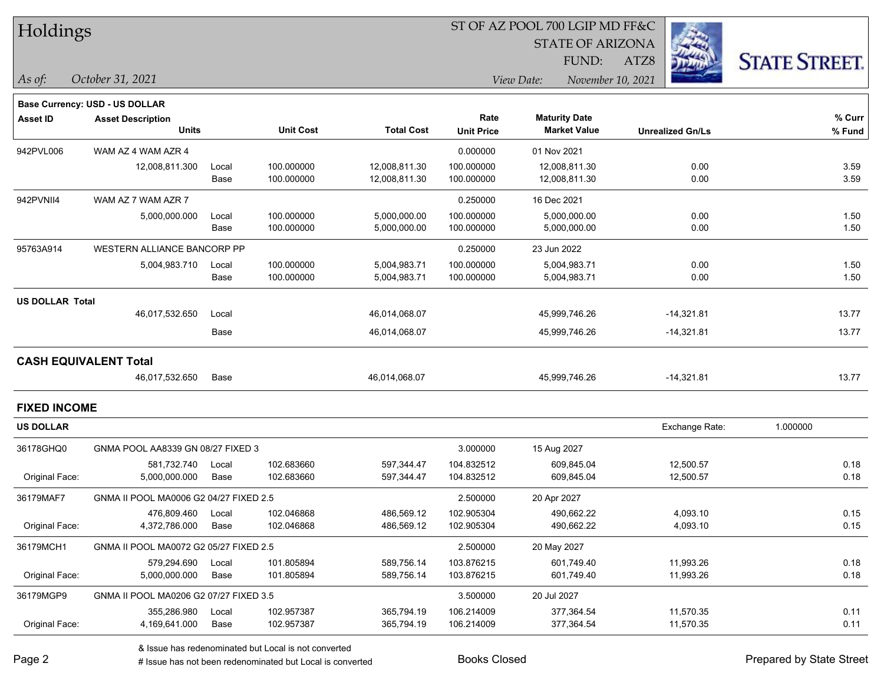|  |  | Holdings |
|--|--|----------|
|--|--|----------|

STATE OF ARIZONA

FUND:

ATZ8



*As of: View Date: November 10, 2021*

|                        | <b>Base Currency: USD - US DOLLAR</b>  |       |                  |                   |                   |                      |                         |          |
|------------------------|----------------------------------------|-------|------------------|-------------------|-------------------|----------------------|-------------------------|----------|
| <b>Asset ID</b>        | <b>Asset Description</b>               |       |                  |                   | Rate              | <b>Maturity Date</b> |                         | % Curr   |
|                        | <b>Units</b>                           |       | <b>Unit Cost</b> | <b>Total Cost</b> | <b>Unit Price</b> | <b>Market Value</b>  | <b>Unrealized Gn/Ls</b> | % Fund   |
| 942PVL006              | WAM AZ 4 WAM AZR 4                     |       |                  |                   | 0.000000          | 01 Nov 2021          |                         |          |
|                        | 12,008,811.300                         | Local | 100.000000       | 12,008,811.30     | 100.000000        | 12,008,811.30        | 0.00                    | 3.59     |
|                        |                                        | Base  | 100.000000       | 12,008,811.30     | 100.000000        | 12,008,811.30        | 0.00                    | 3.59     |
| 942PVNII4              | WAM AZ 7 WAM AZR 7                     |       |                  |                   | 0.250000          | 16 Dec 2021          |                         |          |
|                        | 5,000,000.000                          | Local | 100.000000       | 5,000,000.00      | 100.000000        | 5,000,000.00         | 0.00                    | 1.50     |
|                        |                                        | Base  | 100.000000       | 5,000,000.00      | 100.000000        | 5,000,000.00         | 0.00                    | 1.50     |
| 95763A914              | WESTERN ALLIANCE BANCORP PP            |       |                  |                   | 0.250000          | 23 Jun 2022          |                         |          |
|                        | 5,004,983.710                          | Local | 100.000000       | 5,004,983.71      | 100.000000        | 5,004,983.71         | 0.00                    | 1.50     |
|                        |                                        | Base  | 100.000000       | 5,004,983.71      | 100.000000        | 5,004,983.71         | 0.00                    | 1.50     |
| <b>US DOLLAR Total</b> |                                        |       |                  |                   |                   |                      |                         |          |
|                        | 46,017,532.650                         | Local |                  | 46,014,068.07     |                   | 45,999,746.26        | $-14,321.81$            | 13.77    |
|                        |                                        | Base  |                  | 46,014,068.07     |                   | 45,999,746.26        | $-14,321.81$            | 13.77    |
|                        | <b>CASH EQUIVALENT Total</b>           |       |                  |                   |                   |                      |                         |          |
|                        | 46,017,532.650                         | Base  |                  | 46,014,068.07     |                   | 45,999,746.26        | $-14,321.81$            | 13.77    |
| <b>FIXED INCOME</b>    |                                        |       |                  |                   |                   |                      |                         |          |
| <b>US DOLLAR</b>       |                                        |       |                  |                   |                   |                      | Exchange Rate:          | 1.000000 |
| 36178GHQ0              | GNMA POOL AA8339 GN 08/27 FIXED 3      |       |                  |                   | 3.000000          | 15 Aug 2027          |                         |          |
|                        | 581,732.740                            | Local | 102.683660       | 597,344.47        | 104.832512        | 609,845.04           | 12,500.57               | 0.18     |
| Original Face:         | 5,000,000.000                          | Base  | 102.683660       | 597,344.47        | 104.832512        | 609,845.04           | 12,500.57               | 0.18     |
| 36179MAF7              | GNMA II POOL MA0006 G2 04/27 FIXED 2.5 |       |                  |                   | 2.500000          | 20 Apr 2027          |                         |          |
|                        | 476,809.460                            | Local | 102.046868       | 486,569.12        | 102.905304        | 490.662.22           | 4,093.10                | 0.15     |
| Original Face:         | 4,372,786.000                          | Base  | 102.046868       | 486,569.12        | 102.905304        | 490,662.22           | 4,093.10                | 0.15     |
| 36179MCH1              | GNMA II POOL MA0072 G2 05/27 FIXED 2.5 |       |                  |                   | 2.500000          | 20 May 2027          |                         |          |
|                        | 579,294.690                            | Local | 101.805894       | 589,756.14        | 103.876215        | 601,749.40           | 11,993.26               | 0.18     |
| Original Face:         | 5,000,000.000                          | Base  | 101.805894       | 589,756.14        | 103.876215        | 601,749.40           | 11,993.26               | 0.18     |
| 36179MGP9              | GNMA II POOL MA0206 G2 07/27 FIXED 3.5 |       |                  |                   | 3.500000          | 20 Jul 2027          |                         |          |
|                        | 355,286.980                            | Local | 102.957387       | 365,794.19        | 106.214009        | 377,364.54           | 11,570.35               | 0.11     |
| Original Face:         | 4,169,641.000                          | Base  | 102.957387       | 365,794.19        | 106.214009        | 377,364.54           | 11,570.35               | 0.11     |
|                        |                                        |       |                  |                   |                   |                      |                         |          |

& Issue has redenominated but Local is not converted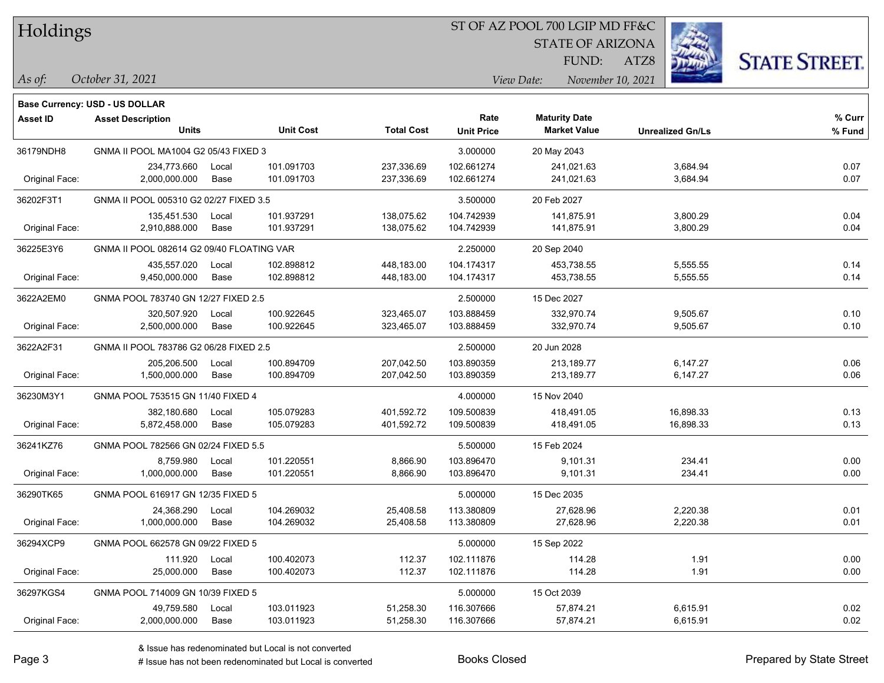#### ST OF AZ POOL 700 LGIP MD FF&C

STATE OF ARIZONA

ATZ8



*October 31, 2021*

**Base Currency: USD - US DOLLAR**

*As of: View Date: November 10, 2021* FUND:

| <b>Asset ID</b> | <b>Asset Description</b>                  |       |                  |                   | Rate              | <b>Maturity Date</b> |                         | % Curr |
|-----------------|-------------------------------------------|-------|------------------|-------------------|-------------------|----------------------|-------------------------|--------|
|                 | <b>Units</b>                              |       | <b>Unit Cost</b> | <b>Total Cost</b> | <b>Unit Price</b> | <b>Market Value</b>  | <b>Unrealized Gn/Ls</b> | % Fund |
| 36179NDH8       | GNMA II POOL MA1004 G2 05/43 FIXED 3      |       |                  |                   | 3.000000          | 20 May 2043          |                         |        |
|                 | 234,773.660                               | Local | 101.091703       | 237,336.69        | 102.661274        | 241,021.63           | 3,684.94                | 0.07   |
| Original Face:  | 2,000,000.000                             | Base  | 101.091703       | 237,336.69        | 102.661274        | 241,021.63           | 3,684.94                | 0.07   |
| 36202F3T1       | GNMA II POOL 005310 G2 02/27 FIXED 3.5    |       |                  |                   | 3.500000          | 20 Feb 2027          |                         |        |
|                 | 135,451.530                               | Local | 101.937291       | 138,075.62        | 104.742939        | 141,875.91           | 3,800.29                | 0.04   |
| Original Face:  | 2,910,888.000                             | Base  | 101.937291       | 138,075.62        | 104.742939        | 141,875.91           | 3,800.29                | 0.04   |
| 36225E3Y6       | GNMA II POOL 082614 G2 09/40 FLOATING VAR |       |                  |                   | 2.250000          | 20 Sep 2040          |                         |        |
|                 | 435,557.020                               | Local | 102.898812       | 448,183.00        | 104.174317        | 453,738.55           | 5,555.55                | 0.14   |
| Original Face:  | 9,450,000.000                             | Base  | 102.898812       | 448,183.00        | 104.174317        | 453,738.55           | 5,555.55                | 0.14   |
| 3622A2EM0       | GNMA POOL 783740 GN 12/27 FIXED 2.5       |       |                  |                   | 2.500000          | 15 Dec 2027          |                         |        |
|                 | 320,507.920                               | Local | 100.922645       | 323,465.07        | 103.888459        | 332,970.74           | 9,505.67                | 0.10   |
| Original Face:  | 2,500,000.000                             | Base  | 100.922645       | 323,465.07        | 103.888459        | 332,970.74           | 9,505.67                | 0.10   |
| 3622A2F31       | GNMA II POOL 783786 G2 06/28 FIXED 2.5    |       |                  |                   | 2.500000          | 20 Jun 2028          |                         |        |
|                 | 205,206.500                               | Local | 100.894709       | 207,042.50        | 103.890359        | 213,189.77           | 6,147.27                | 0.06   |
| Original Face:  | 1,500,000.000                             | Base  | 100.894709       | 207,042.50        | 103.890359        | 213,189.77           | 6,147.27                | 0.06   |
| 36230M3Y1       | GNMA POOL 753515 GN 11/40 FIXED 4         |       |                  |                   | 4.000000          | 15 Nov 2040          |                         |        |
|                 | 382,180.680                               | Local | 105.079283       | 401,592.72        | 109.500839        | 418,491.05           | 16,898.33               | 0.13   |
| Original Face:  | 5,872,458.000                             | Base  | 105.079283       | 401,592.72        | 109.500839        | 418,491.05           | 16,898.33               | 0.13   |
| 36241KZ76       | GNMA POOL 782566 GN 02/24 FIXED 5.5       |       |                  |                   | 5.500000          | 15 Feb 2024          |                         |        |
|                 | 8,759.980                                 | Local | 101.220551       | 8,866.90          | 103.896470        | 9,101.31             | 234.41                  | 0.00   |
| Original Face:  | 1,000,000.000                             | Base  | 101.220551       | 8,866.90          | 103.896470        | 9,101.31             | 234.41                  | 0.00   |
| 36290TK65       | GNMA POOL 616917 GN 12/35 FIXED 5         |       |                  |                   | 5.000000          | 15 Dec 2035          |                         |        |
|                 | 24,368.290                                | Local | 104.269032       | 25,408.58         | 113.380809        | 27,628.96            | 2,220.38                | 0.01   |
| Original Face:  | 1,000,000.000                             | Base  | 104.269032       | 25,408.58         | 113.380809        | 27,628.96            | 2,220.38                | 0.01   |
| 36294XCP9       | GNMA POOL 662578 GN 09/22 FIXED 5         |       |                  |                   | 5.000000          | 15 Sep 2022          |                         |        |
|                 | 111.920                                   | Local | 100.402073       | 112.37            | 102.111876        | 114.28               | 1.91                    | 0.00   |
| Original Face:  | 25,000.000                                | Base  | 100.402073       | 112.37            | 102.111876        | 114.28               | 1.91                    | 0.00   |
| 36297KGS4       | GNMA POOL 714009 GN 10/39 FIXED 5         |       |                  |                   | 5.000000          | 15 Oct 2039          |                         |        |
|                 | 49,759.580                                | Local | 103.011923       | 51,258.30         | 116.307666        | 57,874.21            | 6,615.91                | 0.02   |
| Original Face:  | 2,000,000.000                             | Base  | 103.011923       | 51,258.30         | 116.307666        | 57,874.21            | 6,615.91                | 0.02   |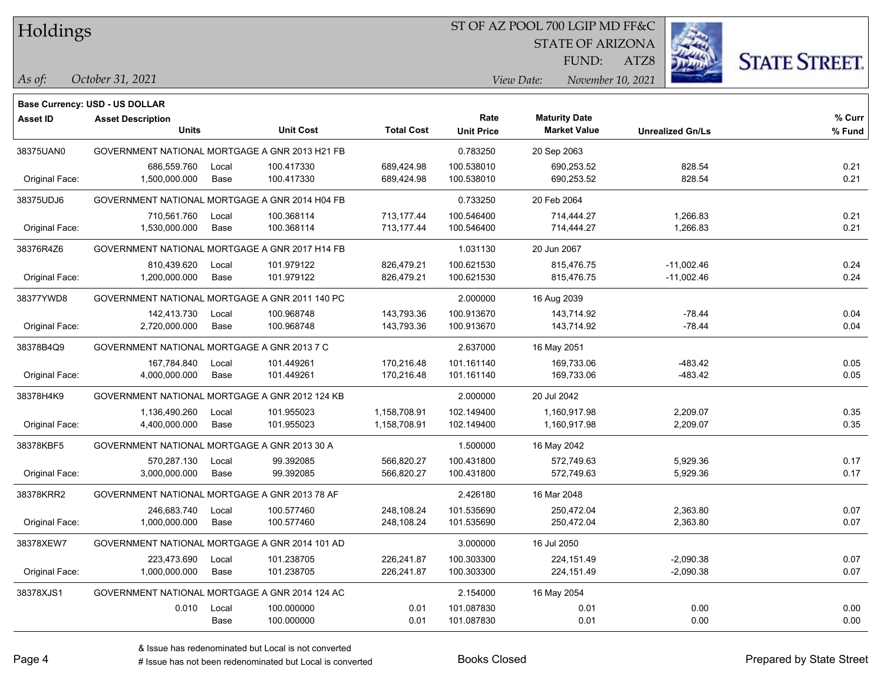#### ST OF AZ POOL 700 LGIP MD FF&C

STATE OF ARIZONA

ATZ8



**Base Currency: USD - US DOLLAR**

*October 31, 2021 As of: View Date: November 10, 2021* FUND:

| <b>Asset ID</b> | <b>Asset Description</b>                       |       |                  |                   | Rate              | <b>Maturity Date</b> |                         | % Curr |
|-----------------|------------------------------------------------|-------|------------------|-------------------|-------------------|----------------------|-------------------------|--------|
|                 | <b>Units</b>                                   |       | <b>Unit Cost</b> | <b>Total Cost</b> | <b>Unit Price</b> | <b>Market Value</b>  | <b>Unrealized Gn/Ls</b> | % Fund |
| 38375UAN0       | GOVERNMENT NATIONAL MORTGAGE A GNR 2013 H21 FB |       |                  |                   | 0.783250          | 20 Sep 2063          |                         |        |
|                 | 686.559.760                                    | Local | 100.417330       | 689,424.98        | 100.538010        | 690,253.52           | 828.54                  | 0.21   |
| Original Face:  | 1,500,000.000                                  | Base  | 100.417330       | 689,424.98        | 100.538010        | 690,253.52           | 828.54                  | 0.21   |
| 38375UDJ6       | GOVERNMENT NATIONAL MORTGAGE A GNR 2014 H04 FB |       |                  |                   | 0.733250          | 20 Feb 2064          |                         |        |
|                 | 710,561.760                                    | Local | 100.368114       | 713,177.44        | 100.546400        | 714,444.27           | 1,266.83                | 0.21   |
| Original Face:  | 1,530,000.000                                  | Base  | 100.368114       | 713,177.44        | 100.546400        | 714,444.27           | 1,266.83                | 0.21   |
| 38376R4Z6       | GOVERNMENT NATIONAL MORTGAGE A GNR 2017 H14 FB |       |                  |                   | 1.031130          | 20 Jun 2067          |                         |        |
|                 | 810,439.620                                    | Local | 101.979122       | 826,479.21        | 100.621530        | 815,476.75           | $-11,002.46$            | 0.24   |
| Original Face:  | 1,200,000.000                                  | Base  | 101.979122       | 826,479.21        | 100.621530        | 815,476.75           | $-11,002.46$            | 0.24   |
| 38377YWD8       | GOVERNMENT NATIONAL MORTGAGE A GNR 2011 140 PC |       |                  |                   | 2.000000          | 16 Aug 2039          |                         |        |
|                 | 142,413.730                                    | Local | 100.968748       | 143,793.36        | 100.913670        | 143,714.92           | $-78.44$                | 0.04   |
| Original Face:  | 2,720,000.000                                  | Base  | 100.968748       | 143,793.36        | 100.913670        | 143,714.92           | $-78.44$                | 0.04   |
| 38378B4Q9       | GOVERNMENT NATIONAL MORTGAGE A GNR 2013 7 C    |       |                  |                   | 2.637000          | 16 May 2051          |                         |        |
|                 | 167,784.840                                    | Local | 101.449261       | 170,216.48        | 101.161140        | 169,733.06           | $-483.42$               | 0.05   |
| Original Face:  | 4,000,000.000                                  | Base  | 101.449261       | 170,216.48        | 101.161140        | 169,733.06           | $-483.42$               | 0.05   |
| 38378H4K9       | GOVERNMENT NATIONAL MORTGAGE A GNR 2012 124 KB |       |                  |                   | 2.000000          | 20 Jul 2042          |                         |        |
|                 | 1,136,490.260                                  | Local | 101.955023       | 1,158,708.91      | 102.149400        | 1,160,917.98         | 2,209.07                | 0.35   |
| Original Face:  | 4,400,000.000                                  | Base  | 101.955023       | 1,158,708.91      | 102.149400        | 1,160,917.98         | 2,209.07                | 0.35   |
| 38378KBF5       | GOVERNMENT NATIONAL MORTGAGE A GNR 2013 30 A   |       |                  |                   | 1.500000          | 16 May 2042          |                         |        |
|                 | 570,287.130                                    | Local | 99.392085        | 566,820.27        | 100.431800        | 572,749.63           | 5,929.36                | 0.17   |
| Original Face:  | 3,000,000.000                                  | Base  | 99.392085        | 566,820.27        | 100.431800        | 572,749.63           | 5,929.36                | 0.17   |
| 38378KRR2       | GOVERNMENT NATIONAL MORTGAGE A GNR 2013 78 AF  |       |                  |                   | 2.426180          | 16 Mar 2048          |                         |        |
|                 | 246.683.740                                    | Local | 100.577460       | 248,108.24        | 101.535690        | 250.472.04           | 2,363.80                | 0.07   |
| Original Face:  | 1,000,000.000                                  | Base  | 100.577460       | 248,108.24        | 101.535690        | 250,472.04           | 2,363.80                | 0.07   |
| 38378XEW7       | GOVERNMENT NATIONAL MORTGAGE A GNR 2014 101 AD |       |                  |                   | 3.000000          | 16 Jul 2050          |                         |        |
|                 | 223,473.690                                    | Local | 101.238705       | 226,241.87        | 100.303300        | 224, 151.49          | $-2,090.38$             | 0.07   |
| Original Face:  | 1,000,000.000                                  | Base  | 101.238705       | 226,241.87        | 100.303300        | 224, 151.49          | $-2,090.38$             | 0.07   |
| 38378XJS1       | GOVERNMENT NATIONAL MORTGAGE A GNR 2014 124 AC |       |                  |                   | 2.154000          | 16 May 2054          |                         |        |
|                 | 0.010                                          | Local | 100.000000       | 0.01              | 101.087830        | 0.01                 | 0.00                    | 0.00   |
|                 |                                                | Base  | 100.000000       | 0.01              | 101.087830        | 0.01                 | 0.00                    | 0.00   |

# Issue has not been redenominated but Local is converted Books Closed Prepared by State Street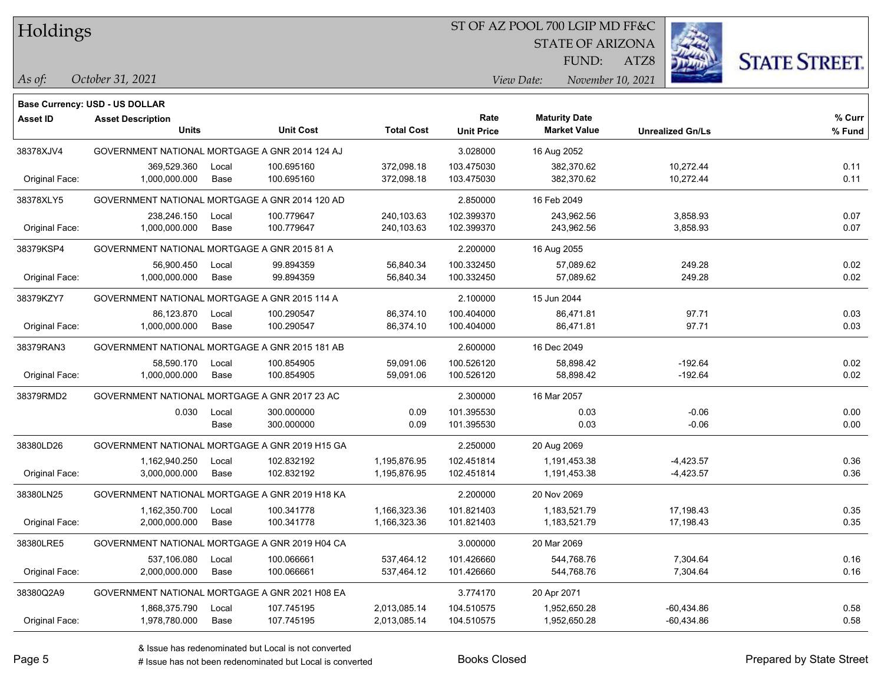#### ST OF AZ POOL 700 LGIP MD FF&C

STATE OF ARIZONA

ATZ8



**Base Currency: USD - US DOLLAR**

| <b>Asset ID</b> | <b>Asset Description</b>                       |       |                  |                   | Rate              | <b>Maturity Date</b> |                         | % Curr |
|-----------------|------------------------------------------------|-------|------------------|-------------------|-------------------|----------------------|-------------------------|--------|
|                 | <b>Units</b>                                   |       | <b>Unit Cost</b> | <b>Total Cost</b> | <b>Unit Price</b> | <b>Market Value</b>  | <b>Unrealized Gn/Ls</b> | % Fund |
| 38378XJV4       | GOVERNMENT NATIONAL MORTGAGE A GNR 2014 124 AJ |       |                  |                   | 3.028000          | 16 Aug 2052          |                         |        |
|                 | 369,529.360                                    | Local | 100.695160       | 372,098.18        | 103.475030        | 382,370.62           | 10,272.44               | 0.11   |
| Original Face:  | 1,000,000.000                                  | Base  | 100.695160       | 372,098.18        | 103.475030        | 382,370.62           | 10,272.44               | 0.11   |
| 38378XLY5       | GOVERNMENT NATIONAL MORTGAGE A GNR 2014 120 AD |       |                  |                   | 2.850000          | 16 Feb 2049          |                         |        |
|                 | 238,246.150                                    | Local | 100.779647       | 240,103.63        | 102.399370        | 243,962.56           | 3,858.93                | 0.07   |
| Original Face:  | 1,000,000.000                                  | Base  | 100.779647       | 240,103.63        | 102.399370        | 243,962.56           | 3,858.93                | 0.07   |
| 38379KSP4       | GOVERNMENT NATIONAL MORTGAGE A GNR 2015 81 A   |       |                  |                   | 2.200000          | 16 Aug 2055          |                         |        |
|                 | 56,900.450                                     | Local | 99.894359        | 56,840.34         | 100.332450        | 57,089.62            | 249.28                  | 0.02   |
| Original Face:  | 1,000,000.000                                  | Base  | 99.894359        | 56,840.34         | 100.332450        | 57,089.62            | 249.28                  | 0.02   |
| 38379KZY7       | GOVERNMENT NATIONAL MORTGAGE A GNR 2015 114 A  |       |                  |                   | 2.100000          | 15 Jun 2044          |                         |        |
|                 | 86,123.870                                     | Local | 100.290547       | 86,374.10         | 100.404000        | 86,471.81            | 97.71                   | 0.03   |
| Original Face:  | 1,000,000.000                                  | Base  | 100.290547       | 86,374.10         | 100.404000        | 86,471.81            | 97.71                   | 0.03   |
| 38379RAN3       | GOVERNMENT NATIONAL MORTGAGE A GNR 2015 181 AB |       |                  |                   | 2.600000          | 16 Dec 2049          |                         |        |
|                 | 58,590.170                                     | Local | 100.854905       | 59,091.06         | 100.526120        | 58,898.42            | $-192.64$               | 0.02   |
| Original Face:  | 1,000,000.000                                  | Base  | 100.854905       | 59,091.06         | 100.526120        | 58,898.42            | $-192.64$               | 0.02   |
| 38379RMD2       | GOVERNMENT NATIONAL MORTGAGE A GNR 2017 23 AC  |       |                  |                   | 2.300000          | 16 Mar 2057          |                         |        |
|                 | 0.030                                          | Local | 300.000000       | 0.09              | 101.395530        | 0.03                 | $-0.06$                 | 0.00   |
|                 |                                                | Base  | 300.000000       | 0.09              | 101.395530        | 0.03                 | $-0.06$                 | 0.00   |
| 38380LD26       | GOVERNMENT NATIONAL MORTGAGE A GNR 2019 H15 GA |       |                  |                   | 2.250000          | 20 Aug 2069          |                         |        |
|                 | 1,162,940.250                                  | Local | 102.832192       | 1,195,876.95      | 102.451814        | 1,191,453.38         | $-4,423.57$             | 0.36   |
| Original Face:  | 3,000,000.000                                  | Base  | 102.832192       | 1,195,876.95      | 102.451814        | 1,191,453.38         | $-4,423.57$             | 0.36   |
| 38380LN25       | GOVERNMENT NATIONAL MORTGAGE A GNR 2019 H18 KA |       |                  |                   | 2.200000          | 20 Nov 2069          |                         |        |
|                 | 1,162,350.700                                  | Local | 100.341778       | 1,166,323.36      | 101.821403        | 1,183,521.79         | 17,198.43               | 0.35   |
| Original Face:  | 2,000,000.000                                  | Base  | 100.341778       | 1,166,323.36      | 101.821403        | 1,183,521.79         | 17,198.43               | 0.35   |
| 38380LRE5       | GOVERNMENT NATIONAL MORTGAGE A GNR 2019 H04 CA |       |                  |                   | 3.000000          | 20 Mar 2069          |                         |        |
|                 | 537,106.080                                    | Local | 100.066661       | 537,464.12        | 101.426660        | 544,768.76           | 7,304.64                | 0.16   |
| Original Face:  | 2,000,000.000                                  | Base  | 100.066661       | 537,464.12        | 101.426660        | 544,768.76           | 7,304.64                | 0.16   |
| 38380Q2A9       | GOVERNMENT NATIONAL MORTGAGE A GNR 2021 H08 EA |       |                  |                   | 3.774170          | 20 Apr 2071          |                         |        |
|                 | 1,868,375.790                                  | Local | 107.745195       | 2,013,085.14      | 104.510575        | 1,952,650.28         | -60,434.86              | 0.58   |
| Original Face:  | 1,978,780.000                                  | Base  | 107.745195       | 2,013,085.14      | 104.510575        | 1,952,650.28         | $-60,434.86$            | 0.58   |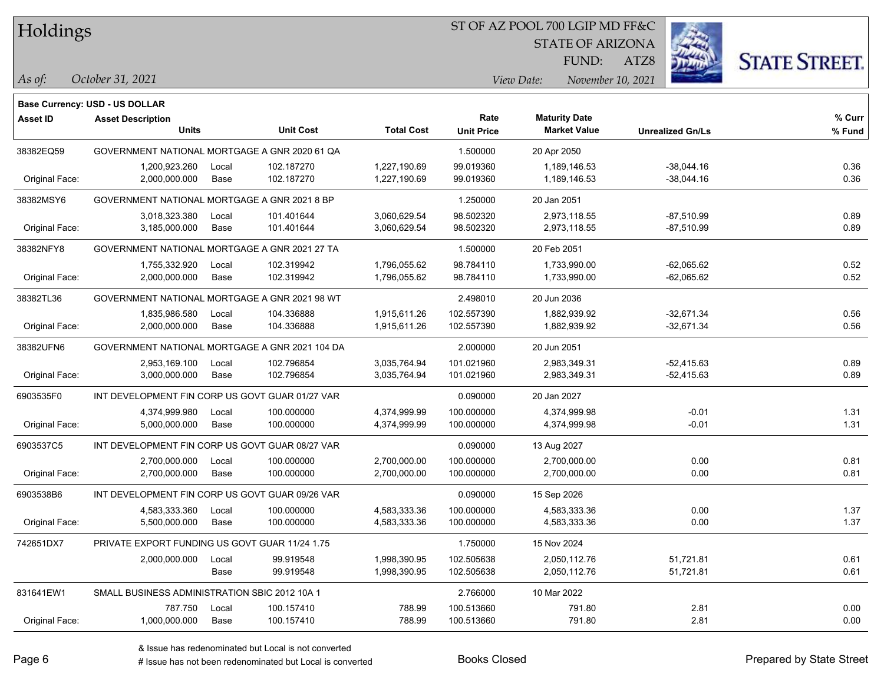#### ST OF AZ POOL 700 LGIP MD FF&C

STATE OF ARIZONA

ATZ8



**Base Currency: USD - US DOLLAR**

| <b>Asset ID</b> | <b>Asset Description</b>                        |       |                  |                   | Rate              | <b>Maturity Date</b> |                         | % Curr |
|-----------------|-------------------------------------------------|-------|------------------|-------------------|-------------------|----------------------|-------------------------|--------|
|                 | <b>Units</b>                                    |       | <b>Unit Cost</b> | <b>Total Cost</b> | <b>Unit Price</b> | <b>Market Value</b>  | <b>Unrealized Gn/Ls</b> | % Fund |
| 38382EQ59       | GOVERNMENT NATIONAL MORTGAGE A GNR 2020 61 QA   |       |                  |                   | 1.500000          | 20 Apr 2050          |                         |        |
|                 | 1,200,923.260                                   | Local | 102.187270       | 1,227,190.69      | 99.019360         | 1,189,146.53         | $-38,044.16$            | 0.36   |
| Original Face:  | 2,000,000.000                                   | Base  | 102.187270       | 1,227,190.69      | 99.019360         | 1,189,146.53         | $-38,044.16$            | 0.36   |
| 38382MSY6       | GOVERNMENT NATIONAL MORTGAGE A GNR 2021 8 BP    |       |                  |                   | 1.250000          | 20 Jan 2051          |                         |        |
|                 | 3,018,323.380                                   | Local | 101.401644       | 3,060,629.54      | 98.502320         | 2,973,118.55         | $-87,510.99$            | 0.89   |
| Original Face:  | 3,185,000.000                                   | Base  | 101.401644       | 3,060,629.54      | 98.502320         | 2,973,118.55         | -87,510.99              | 0.89   |
| 38382NFY8       | GOVERNMENT NATIONAL MORTGAGE A GNR 2021 27 TA   |       |                  |                   | 1.500000          | 20 Feb 2051          |                         |        |
|                 | 1,755,332.920                                   | Local | 102.319942       | 1,796,055.62      | 98.784110         | 1,733,990.00         | $-62,065.62$            | 0.52   |
| Original Face:  | 2,000,000.000                                   | Base  | 102.319942       | 1,796,055.62      | 98.784110         | 1,733,990.00         | $-62,065.62$            | 0.52   |
| 38382TL36       | GOVERNMENT NATIONAL MORTGAGE A GNR 2021 98 WT   |       |                  |                   | 2.498010          | 20 Jun 2036          |                         |        |
|                 | 1,835,986.580                                   | Local | 104.336888       | 1,915,611.26      | 102.557390        | 1.882.939.92         | $-32,671.34$            | 0.56   |
| Original Face:  | 2,000,000.000                                   | Base  | 104.336888       | 1,915,611.26      | 102.557390        | 1,882,939.92         | $-32,671.34$            | 0.56   |
| 38382UFN6       | GOVERNMENT NATIONAL MORTGAGE A GNR 2021 104 DA  |       |                  |                   | 2.000000          | 20 Jun 2051          |                         |        |
|                 | 2,953,169.100                                   | Local | 102.796854       | 3,035,764.94      | 101.021960        | 2,983,349.31         | $-52,415.63$            | 0.89   |
| Original Face:  | 3,000,000.000                                   | Base  | 102.796854       | 3,035,764.94      | 101.021960        | 2,983,349.31         | $-52,415.63$            | 0.89   |
| 6903535F0       | INT DEVELOPMENT FIN CORP US GOVT GUAR 01/27 VAR |       |                  |                   | 0.090000          | 20 Jan 2027          |                         |        |
|                 | 4,374,999.980                                   | Local | 100.000000       | 4,374,999.99      | 100.000000        | 4,374,999.98         | $-0.01$                 | 1.31   |
| Original Face:  | 5,000,000.000                                   | Base  | 100.000000       | 4,374,999.99      | 100.000000        | 4,374,999.98         | $-0.01$                 | 1.31   |
| 6903537C5       | INT DEVELOPMENT FIN CORP US GOVT GUAR 08/27 VAR |       |                  |                   | 0.090000          | 13 Aug 2027          |                         |        |
|                 | 2,700,000.000                                   | Local | 100.000000       | 2,700,000.00      | 100.000000        | 2,700,000.00         | 0.00                    | 0.81   |
| Original Face:  | 2,700,000.000                                   | Base  | 100.000000       | 2,700,000.00      | 100.000000        | 2,700,000.00         | 0.00                    | 0.81   |
| 6903538B6       | INT DEVELOPMENT FIN CORP US GOVT GUAR 09/26 VAR |       |                  |                   | 0.090000          | 15 Sep 2026          |                         |        |
|                 | 4,583,333.360                                   | Local | 100.000000       | 4,583,333.36      | 100.000000        | 4,583,333.36         | 0.00                    | 1.37   |
| Original Face:  | 5,500,000.000                                   | Base  | 100.000000       | 4,583,333.36      | 100.000000        | 4,583,333.36         | 0.00                    | 1.37   |
| 742651DX7       | PRIVATE EXPORT FUNDING US GOVT GUAR 11/24 1.75  |       |                  |                   | 1.750000          | 15 Nov 2024          |                         |        |
|                 | 2,000,000.000                                   | Local | 99.919548        | 1,998,390.95      | 102.505638        | 2,050,112.76         | 51,721.81               | 0.61   |
|                 |                                                 | Base  | 99.919548        | 1,998,390.95      | 102.505638        | 2,050,112.76         | 51,721.81               | 0.61   |
| 831641EW1       | SMALL BUSINESS ADMINISTRATION SBIC 2012 10A 1   |       |                  |                   | 2.766000          | 10 Mar 2022          |                         |        |
|                 | 787.750                                         | Local | 100.157410       | 788.99            | 100.513660        | 791.80               | 2.81                    | 0.00   |
| Original Face:  | 1,000,000.000                                   | Base  | 100.157410       | 788.99            | 100.513660        | 791.80               | 2.81                    | 0.00   |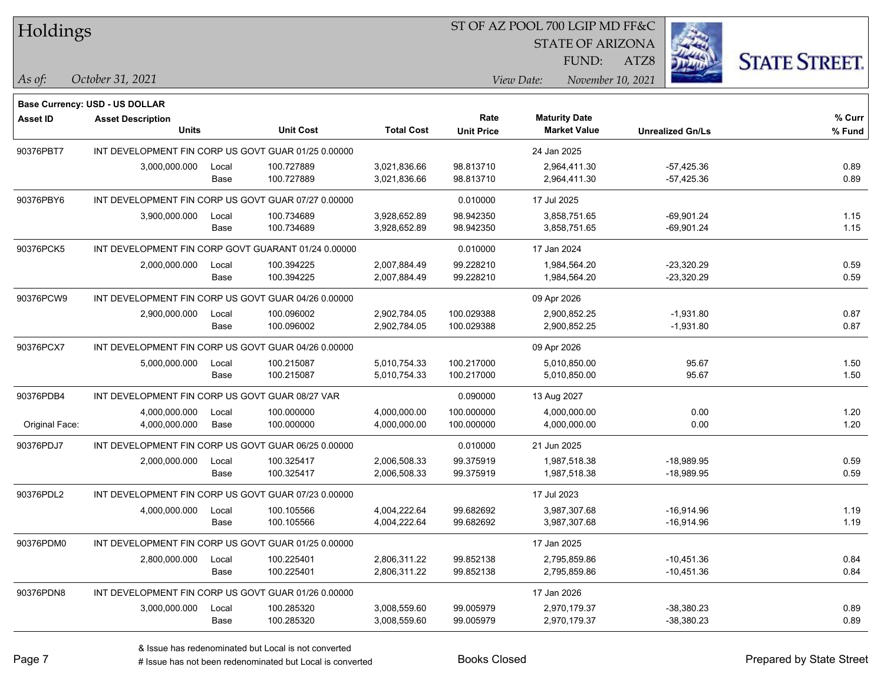#### ST OF AZ POOL 700 LGIP MD FF&C

STATE OF ARIZONA

ATZ8



**Base Currency: USD - US DOLLAR**

| <b>Asset ID</b> | <b>Asset Description</b>                            |       |                                                     |                   | Rate              | <b>Maturity Date</b> |                         | % Curr |
|-----------------|-----------------------------------------------------|-------|-----------------------------------------------------|-------------------|-------------------|----------------------|-------------------------|--------|
|                 | <b>Units</b>                                        |       | <b>Unit Cost</b>                                    | <b>Total Cost</b> | <b>Unit Price</b> | <b>Market Value</b>  | <b>Unrealized Gn/Ls</b> | % Fund |
| 90376PBT7       | INT DEVELOPMENT FIN CORP US GOVT GUAR 01/25 0.00000 |       |                                                     |                   | 24 Jan 2025       |                      |                         |        |
|                 | 3,000,000.000                                       | Local | 100.727889                                          | 3,021,836.66      | 98.813710         | 2,964,411.30         | $-57,425.36$            | 0.89   |
|                 |                                                     | Base  | 100.727889                                          | 3,021,836.66      | 98.813710         | 2,964,411.30         | $-57,425.36$            | 0.89   |
| 90376PBY6       | INT DEVELOPMENT FIN CORP US GOVT GUAR 07/27 0.00000 |       |                                                     |                   | 0.010000          | 17 Jul 2025          |                         |        |
|                 | 3,900,000.000                                       | Local | 100.734689                                          | 3,928,652.89      | 98.942350         | 3,858,751.65         | $-69,901.24$            | 1.15   |
|                 |                                                     | Base  | 100.734689                                          | 3,928,652.89      | 98.942350         | 3,858,751.65         | $-69,901.24$            | 1.15   |
| 90376PCK5       |                                                     |       | INT DEVELOPMENT FIN CORP GOVT GUARANT 01/24 0.00000 |                   | 0.010000          | 17 Jan 2024          |                         |        |
|                 | 2,000,000.000                                       | Local | 100.394225                                          | 2,007,884.49      | 99.228210         | 1,984,564.20         | -23,320.29              | 0.59   |
|                 |                                                     | Base  | 100.394225                                          | 2,007,884.49      | 99.228210         | 1,984,564.20         | $-23,320.29$            | 0.59   |
| 90376PCW9       | INT DEVELOPMENT FIN CORP US GOVT GUAR 04/26 0.00000 |       |                                                     |                   |                   | 09 Apr 2026          |                         |        |
|                 | 2,900,000.000                                       | Local | 100.096002                                          | 2,902,784.05      | 100.029388        | 2,900,852.25         | $-1,931.80$             | 0.87   |
|                 |                                                     | Base  | 100.096002                                          | 2,902,784.05      | 100.029388        | 2,900,852.25         | $-1,931.80$             | 0.87   |
| 90376PCX7       | INT DEVELOPMENT FIN CORP US GOVT GUAR 04/26 0.00000 |       |                                                     |                   | 09 Apr 2026       |                      |                         |        |
|                 | 5,000,000.000                                       | Local | 100.215087                                          | 5,010,754.33      | 100.217000        | 5,010,850.00         | 95.67                   | 1.50   |
|                 |                                                     | Base  | 100.215087                                          | 5,010,754.33      | 100.217000        | 5,010,850.00         | 95.67                   | 1.50   |
| 90376PDB4       | INT DEVELOPMENT FIN CORP US GOVT GUAR 08/27 VAR     |       |                                                     |                   | 0.090000          | 13 Aug 2027          |                         |        |
|                 | 4,000,000.000                                       | Local | 100.000000                                          | 4,000,000.00      | 100.000000        | 4,000,000.00         | 0.00                    | 1.20   |
| Original Face:  | 4,000,000.000                                       | Base  | 100.000000                                          | 4,000,000.00      | 100.000000        | 4,000,000.00         | 0.00                    | 1.20   |
| 90376PDJ7       | INT DEVELOPMENT FIN CORP US GOVT GUAR 06/25 0.00000 |       |                                                     |                   | 0.010000          | 21 Jun 2025          |                         |        |
|                 | 2,000,000.000                                       | Local | 100.325417                                          | 2,006,508.33      | 99.375919         | 1,987,518.38         | -18,989.95              | 0.59   |
|                 |                                                     | Base  | 100.325417                                          | 2,006,508.33      | 99.375919         | 1,987,518.38         | $-18,989.95$            | 0.59   |
| 90376PDL2       | INT DEVELOPMENT FIN CORP US GOVT GUAR 07/23 0.00000 |       |                                                     |                   |                   | 17 Jul 2023          |                         |        |
|                 | 4,000,000.000                                       | Local | 100.105566                                          | 4,004,222.64      | 99.682692         | 3,987,307.68         | -16,914.96              | 1.19   |
|                 |                                                     | Base  | 100.105566                                          | 4,004,222.64      | 99.682692         | 3,987,307.68         | $-16,914.96$            | 1.19   |
| 90376PDM0       | INT DEVELOPMENT FIN CORP US GOVT GUAR 01/25 0.00000 |       |                                                     |                   |                   | 17 Jan 2025          |                         |        |
|                 | 2,800,000.000                                       | Local | 100.225401                                          | 2,806,311.22      | 99.852138         | 2,795,859.86         | $-10,451.36$            | 0.84   |
|                 |                                                     | Base  | 100.225401                                          | 2,806,311.22      | 99.852138         | 2,795,859.86         | $-10,451.36$            | 0.84   |
| 90376PDN8       | INT DEVELOPMENT FIN CORP US GOVT GUAR 01/26 0.00000 |       |                                                     |                   |                   | 17 Jan 2026          |                         |        |
|                 | 3,000,000.000                                       | Local | 100.285320                                          | 3,008,559.60      | 99.005979         | 2,970,179.37         | $-38,380.23$            | 0.89   |
|                 |                                                     | Base  | 100.285320                                          | 3,008,559.60      | 99.005979         | 2,970,179.37         | $-38,380.23$            | 0.89   |
|                 |                                                     |       |                                                     |                   |                   |                      |                         |        |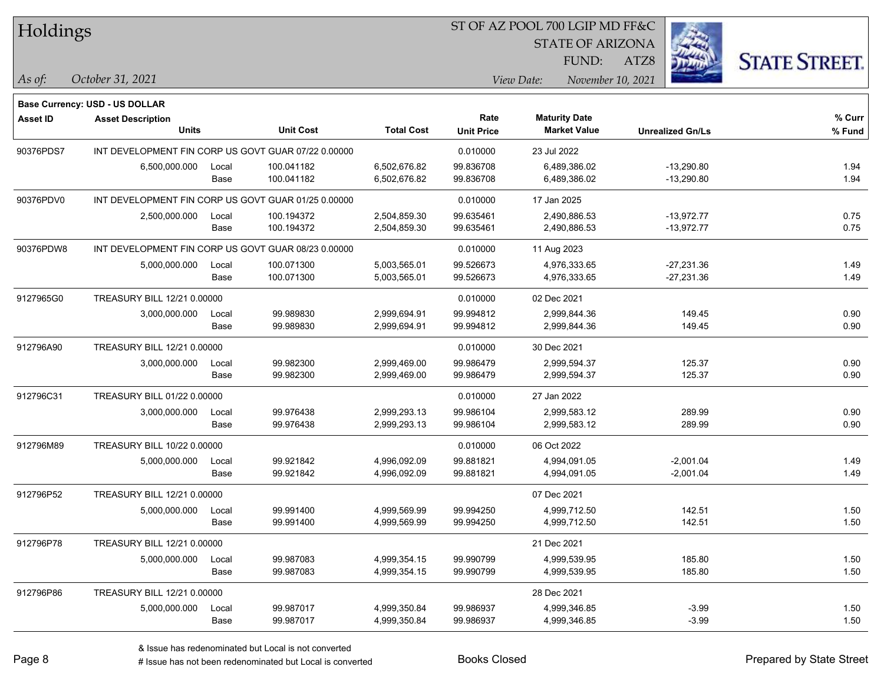| Holdings |
|----------|
|          |

STATE OF ARIZONA

ATZ8



*October 31, 2021 As of: View Date: November 10, 2021* FUND:

|                 | <b>Base Currency: USD - US DOLLAR</b>               |       |                  |                   |                   |                      |                         |        |
|-----------------|-----------------------------------------------------|-------|------------------|-------------------|-------------------|----------------------|-------------------------|--------|
| <b>Asset ID</b> | <b>Asset Description</b>                            |       |                  |                   | Rate              | <b>Maturity Date</b> |                         | % Curr |
|                 | <b>Units</b>                                        |       | <b>Unit Cost</b> | <b>Total Cost</b> | <b>Unit Price</b> | <b>Market Value</b>  | <b>Unrealized Gn/Ls</b> | % Fund |
| 90376PDS7       | INT DEVELOPMENT FIN CORP US GOVT GUAR 07/22 0.00000 |       |                  |                   | 0.010000          | 23 Jul 2022          |                         |        |
|                 | 6,500,000.000                                       | Local | 100.041182       | 6,502,676.82      | 99.836708         | 6,489,386.02         | -13,290.80              | 1.94   |
|                 |                                                     | Base  | 100.041182       | 6,502,676.82      | 99.836708         | 6,489,386.02         | $-13,290.80$            | 1.94   |
| 90376PDV0       | INT DEVELOPMENT FIN CORP US GOVT GUAR 01/25 0.00000 |       |                  |                   | 0.010000          | 17 Jan 2025          |                         |        |
|                 | 2,500,000.000                                       | Local | 100.194372       | 2,504,859.30      | 99.635461         | 2.490.886.53         | $-13,972.77$            | 0.75   |
|                 |                                                     | Base  | 100.194372       | 2,504,859.30      | 99.635461         | 2,490,886.53         | $-13,972.77$            | 0.75   |
| 90376PDW8       | INT DEVELOPMENT FIN CORP US GOVT GUAR 08/23 0.00000 |       |                  |                   | 0.010000          | 11 Aug 2023          |                         |        |
|                 | 5,000,000.000                                       | Local | 100.071300       | 5,003,565.01      | 99.526673         | 4,976,333.65         | -27,231.36              | 1.49   |
|                 |                                                     | Base  | 100.071300       | 5,003,565.01      | 99.526673         | 4,976,333.65         | $-27,231.36$            | 1.49   |
| 9127965G0       | TREASURY BILL 12/21 0.00000                         |       |                  | 0.010000          | 02 Dec 2021       |                      |                         |        |
|                 | 3,000,000.000                                       | Local | 99.989830        | 2,999,694.91      | 99.994812         | 2,999,844.36         | 149.45                  | 0.90   |
|                 |                                                     | Base  | 99.989830        | 2,999,694.91      | 99.994812         | 2,999,844.36         | 149.45                  | 0.90   |
| 912796A90       | TREASURY BILL 12/21 0.00000                         |       |                  |                   | 0.010000          | 30 Dec 2021          |                         |        |
|                 | 3,000,000.000                                       | Local | 99.982300        | 2,999,469.00      | 99.986479         | 2,999,594.37         | 125.37                  | 0.90   |
|                 |                                                     | Base  | 99.982300        | 2,999,469.00      | 99.986479         | 2,999,594.37         | 125.37                  | 0.90   |
| 912796C31       | TREASURY BILL 01/22 0.00000                         |       |                  |                   | 0.010000          | 27 Jan 2022          |                         |        |
|                 | 3,000,000.000                                       | Local | 99.976438        | 2,999,293.13      | 99.986104         | 2,999,583.12         | 289.99                  | 0.90   |
|                 |                                                     | Base  | 99.976438        | 2,999,293.13      | 99.986104         | 2,999,583.12         | 289.99                  | 0.90   |
| 912796M89       | TREASURY BILL 10/22 0.00000                         |       |                  |                   | 0.010000          | 06 Oct 2022          |                         |        |
|                 | 5,000,000.000                                       | Local | 99.921842        | 4,996,092.09      | 99.881821         | 4,994,091.05         | $-2,001.04$             | 1.49   |
|                 |                                                     | Base  | 99.921842        | 4,996,092.09      | 99.881821         | 4,994,091.05         | $-2,001.04$             | 1.49   |
| 912796P52       | TREASURY BILL 12/21 0.00000                         |       |                  |                   |                   | 07 Dec 2021          |                         |        |
|                 | 5,000,000.000                                       | Local | 99.991400        | 4,999,569.99      | 99.994250         | 4,999,712.50         | 142.51                  | 1.50   |
|                 |                                                     | Base  | 99.991400        | 4,999,569.99      | 99.994250         | 4,999,712.50         | 142.51                  | 1.50   |
| 912796P78       | TREASURY BILL 12/21 0.00000                         |       |                  |                   |                   | 21 Dec 2021          |                         |        |
|                 | 5,000,000.000                                       | Local | 99.987083        | 4,999,354.15      | 99.990799         | 4,999,539.95         | 185.80                  | 1.50   |
|                 |                                                     | Base  | 99.987083        | 4,999,354.15      | 99.990799         | 4,999,539.95         | 185.80                  | 1.50   |
| 912796P86       | TREASURY BILL 12/21 0.00000                         |       |                  |                   |                   | 28 Dec 2021          |                         |        |
|                 | 5,000,000.000                                       | Local | 99.987017        | 4,999,350.84      | 99.986937         | 4,999,346.85         | $-3.99$                 | 1.50   |
|                 |                                                     | Base  | 99.987017        | 4,999,350.84      | 99.986937         | 4,999,346.85         | $-3.99$                 | 1.50   |

# Issue has not been redenominated but Local is converted Books Closed Prepared by State Street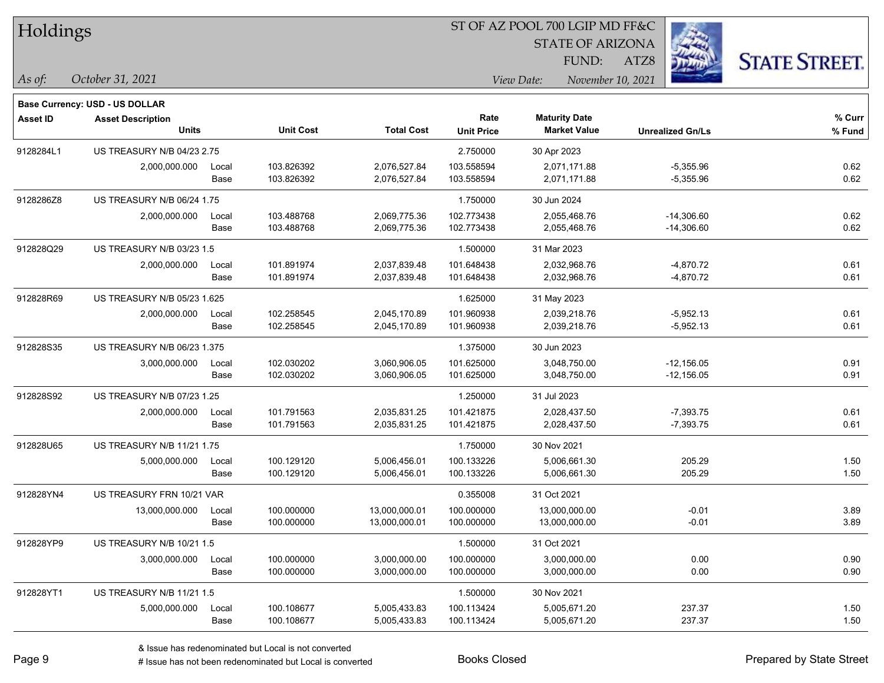|  | <b>Holdings</b> |
|--|-----------------|
|  |                 |

STATE OF ARIZONA

ATZ8



**Base Currency: USD - US DOLLAR**

| <b>Asset ID</b> | <b>Asset Description</b><br><b>Units</b> |               | <b>Unit Cost</b>         | <b>Total Cost</b>              | Rate<br><b>Unit Price</b> | <b>Maturity Date</b><br><b>Market Value</b> | <b>Unrealized Gn/Ls</b>      | % Curr<br>% Fund |
|-----------------|------------------------------------------|---------------|--------------------------|--------------------------------|---------------------------|---------------------------------------------|------------------------------|------------------|
| 9128284L1       | <b>US TREASURY N/B 04/23 2.75</b>        |               |                          |                                | 2.750000                  | 30 Apr 2023                                 |                              |                  |
|                 | 2,000,000.000                            | Local<br>Base | 103.826392<br>103.826392 | 2,076,527.84<br>2,076,527.84   | 103.558594<br>103.558594  | 2,071,171.88<br>2,071,171.88                | $-5,355.96$<br>$-5,355.96$   | 0.62<br>0.62     |
| 9128286Z8       | US TREASURY N/B 06/24 1.75               |               |                          |                                | 1.750000                  | 30 Jun 2024                                 |                              |                  |
|                 | 2,000,000.000                            | Local<br>Base | 103.488768<br>103.488768 | 2,069,775.36<br>2,069,775.36   | 102.773438<br>102.773438  | 2,055,468.76<br>2,055,468.76                | $-14,306.60$<br>$-14,306.60$ | 0.62<br>0.62     |
| 912828Q29       | US TREASURY N/B 03/23 1.5                |               |                          |                                | 1.500000                  | 31 Mar 2023                                 |                              |                  |
|                 | 2,000,000.000                            | Local<br>Base | 101.891974<br>101.891974 | 2,037,839.48<br>2,037,839.48   | 101.648438<br>101.648438  | 2,032,968.76<br>2,032,968.76                | $-4,870.72$<br>$-4,870.72$   | 0.61<br>0.61     |
| 912828R69       | US TREASURY N/B 05/23 1.625              |               |                          |                                | 1.625000                  | 31 May 2023                                 |                              |                  |
|                 | 2,000,000.000                            | Local<br>Base | 102.258545<br>102.258545 | 2,045,170.89<br>2,045,170.89   | 101.960938<br>101.960938  | 2,039,218.76<br>2,039,218.76                | $-5,952.13$<br>$-5,952.13$   | 0.61<br>0.61     |
| 912828S35       | US TREASURY N/B 06/23 1.375              |               |                          |                                | 1.375000                  | 30 Jun 2023                                 |                              |                  |
|                 | 3,000,000.000                            | Local<br>Base | 102.030202<br>102.030202 | 3,060,906.05<br>3,060,906.05   | 101.625000<br>101.625000  | 3,048,750.00<br>3,048,750.00                | $-12,156.05$<br>$-12,156.05$ | 0.91<br>0.91     |
| 912828S92       | US TREASURY N/B 07/23 1.25               |               |                          |                                | 1.250000                  | 31 Jul 2023                                 |                              |                  |
|                 | 2,000,000.000                            | Local<br>Base | 101.791563<br>101.791563 | 2,035,831.25<br>2,035,831.25   | 101.421875<br>101.421875  | 2,028,437.50<br>2,028,437.50                | $-7,393.75$<br>$-7,393.75$   | 0.61<br>0.61     |
| 912828U65       | <b>US TREASURY N/B 11/21 1.75</b>        |               |                          |                                | 1.750000                  | 30 Nov 2021                                 |                              |                  |
|                 | 5,000,000.000                            | Local<br>Base | 100.129120<br>100.129120 | 5,006,456.01<br>5,006,456.01   | 100.133226<br>100.133226  | 5,006,661.30<br>5,006,661.30                | 205.29<br>205.29             | 1.50<br>1.50     |
| 912828YN4       | US TREASURY FRN 10/21 VAR                |               |                          |                                | 0.355008                  | 31 Oct 2021                                 |                              |                  |
|                 | 13,000,000.000                           | Local<br>Base | 100.000000<br>100.000000 | 13,000,000.01<br>13,000,000.01 | 100.000000<br>100.000000  | 13,000,000.00<br>13,000,000.00              | $-0.01$<br>$-0.01$           | 3.89<br>3.89     |
| 912828YP9       | US TREASURY N/B 10/21 1.5                |               |                          |                                | 1.500000                  | 31 Oct 2021                                 |                              |                  |
|                 | 3,000,000.000                            | Local<br>Base | 100.000000<br>100.000000 | 3,000,000.00<br>3,000,000.00   | 100.000000<br>100.000000  | 3,000,000.00<br>3,000,000.00                | 0.00<br>0.00                 | 0.90<br>0.90     |
| 912828YT1       | US TREASURY N/B 11/21 1.5                |               |                          |                                | 1.500000                  | 30 Nov 2021                                 |                              |                  |
|                 | 5,000,000.000                            | Local<br>Base | 100.108677<br>100.108677 | 5,005,433.83<br>5,005,433.83   | 100.113424<br>100.113424  | 5,005,671.20<br>5,005,671.20                | 237.37<br>237.37             | 1.50<br>1.50     |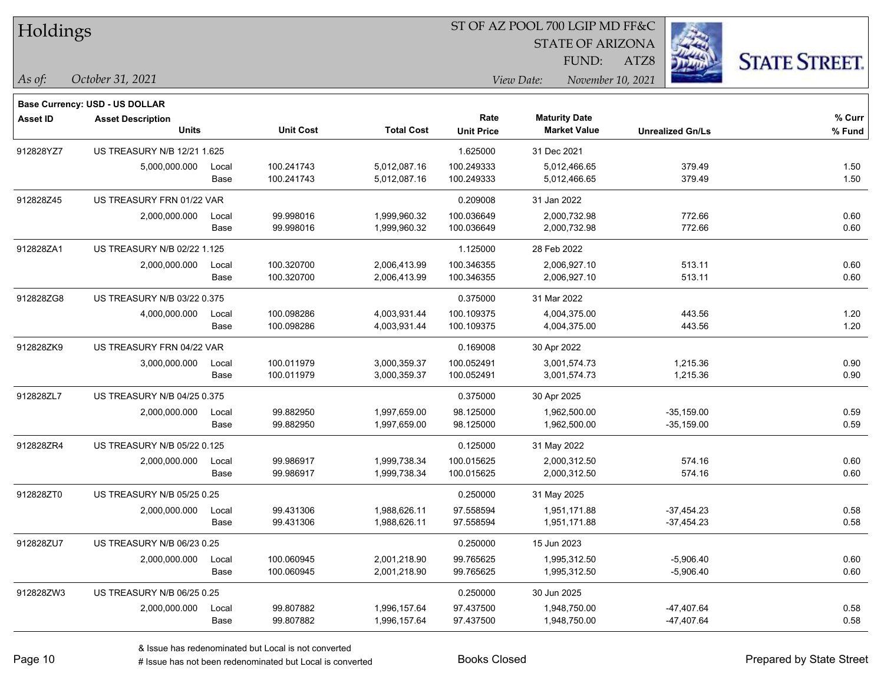| Holdings |  |
|----------|--|
|          |  |

STATE OF ARIZONA

FUND:

ATZ8



*October 31, 2021 As of: View Date: November 10, 2021*

|                 | <b>Base Currency: USD - US DOLLAR</b> |       |                  |                   |                   |                      |                         |        |
|-----------------|---------------------------------------|-------|------------------|-------------------|-------------------|----------------------|-------------------------|--------|
| <b>Asset ID</b> | <b>Asset Description</b>              |       |                  |                   | Rate              | <b>Maturity Date</b> |                         | % Curr |
|                 | <b>Units</b>                          |       | <b>Unit Cost</b> | <b>Total Cost</b> | <b>Unit Price</b> | <b>Market Value</b>  | <b>Unrealized Gn/Ls</b> | % Fund |
| 912828YZ7       | US TREASURY N/B 12/21 1.625           |       |                  |                   | 1.625000          | 31 Dec 2021          |                         |        |
|                 | 5,000,000.000                         | Local | 100.241743       | 5,012,087.16      | 100.249333        | 5,012,466.65         | 379.49                  | 1.50   |
|                 |                                       | Base  | 100.241743       | 5,012,087.16      | 100.249333        | 5,012,466.65         | 379.49                  | 1.50   |
| 912828Z45       | US TREASURY FRN 01/22 VAR             |       |                  |                   | 0.209008          | 31 Jan 2022          |                         |        |
|                 | 2,000,000.000                         | Local | 99.998016        | 1,999,960.32      | 100.036649        | 2,000,732.98         | 772.66                  | 0.60   |
|                 |                                       | Base  | 99.998016        | 1,999,960.32      | 100.036649        | 2,000,732.98         | 772.66                  | 0.60   |
| 912828ZA1       | US TREASURY N/B 02/22 1.125           |       |                  |                   | 1.125000          | 28 Feb 2022          |                         |        |
|                 | 2,000,000.000                         | Local | 100.320700       | 2,006,413.99      | 100.346355        | 2,006,927.10         | 513.11                  | 0.60   |
|                 |                                       | Base  | 100.320700       | 2,006,413.99      | 100.346355        | 2,006,927.10         | 513.11                  | 0.60   |
| 912828ZG8       | US TREASURY N/B 03/22 0.375           |       |                  |                   | 0.375000          | 31 Mar 2022          |                         |        |
|                 | 4,000,000.000                         | Local | 100.098286       | 4,003,931.44      | 100.109375        | 4,004,375.00         | 443.56                  | 1.20   |
|                 |                                       | Base  | 100.098286       | 4,003,931.44      | 100.109375        | 4,004,375.00         | 443.56                  | 1.20   |
| 912828ZK9       | US TREASURY FRN 04/22 VAR             |       |                  |                   | 0.169008          | 30 Apr 2022          |                         |        |
|                 | 3,000,000.000                         | Local | 100.011979       | 3,000,359.37      | 100.052491        | 3,001,574.73         | 1,215.36                | 0.90   |
|                 |                                       | Base  | 100.011979       | 3,000,359.37      | 100.052491        | 3,001,574.73         | 1,215.36                | 0.90   |
| 912828ZL7       | US TREASURY N/B 04/25 0.375           |       |                  |                   | 0.375000          | 30 Apr 2025          |                         |        |
|                 | 2,000,000.000                         | Local | 99.882950        | 1,997,659.00      | 98.125000         | 1,962,500.00         | $-35,159.00$            | 0.59   |
|                 |                                       | Base  | 99.882950        | 1,997,659.00      | 98.125000         | 1,962,500.00         | $-35,159.00$            | 0.59   |
| 912828ZR4       | US TREASURY N/B 05/22 0.125           |       |                  |                   | 0.125000          | 31 May 2022          |                         |        |
|                 | 2,000,000.000                         | Local | 99.986917        | 1,999,738.34      | 100.015625        | 2,000,312.50         | 574.16                  | 0.60   |
|                 |                                       | Base  | 99.986917        | 1,999,738.34      | 100.015625        | 2,000,312.50         | 574.16                  | 0.60   |
| 912828ZT0       | <b>US TREASURY N/B 05/25 0.25</b>     |       |                  |                   | 0.250000          | 31 May 2025          |                         |        |
|                 | 2,000,000.000                         | Local | 99.431306        | 1,988,626.11      | 97.558594         | 1,951,171.88         | $-37,454.23$            | 0.58   |
|                 |                                       | Base  | 99.431306        | 1,988,626.11      | 97.558594         | 1,951,171.88         | $-37,454.23$            | 0.58   |
| 912828ZU7       | US TREASURY N/B 06/23 0.25            |       |                  |                   | 0.250000          | 15 Jun 2023          |                         |        |
|                 | 2,000,000.000                         | Local | 100.060945       | 2,001,218.90      | 99.765625         | 1,995,312.50         | $-5,906.40$             | 0.60   |
|                 |                                       | Base  | 100.060945       | 2,001,218.90      | 99.765625         | 1,995,312.50         | $-5,906.40$             | 0.60   |
| 912828ZW3       | US TREASURY N/B 06/25 0.25            |       |                  |                   | 0.250000          | 30 Jun 2025          |                         |        |
|                 | 2,000,000.000                         | Local | 99.807882        | 1,996,157.64      | 97.437500         | 1,948,750.00         | -47,407.64              | 0.58   |
|                 |                                       | Base  | 99.807882        | 1,996,157.64      | 97.437500         | 1,948,750.00         | -47,407.64              | 0.58   |

# Issue has not been redenominated but Local is converted Books Closed Prepared by State Street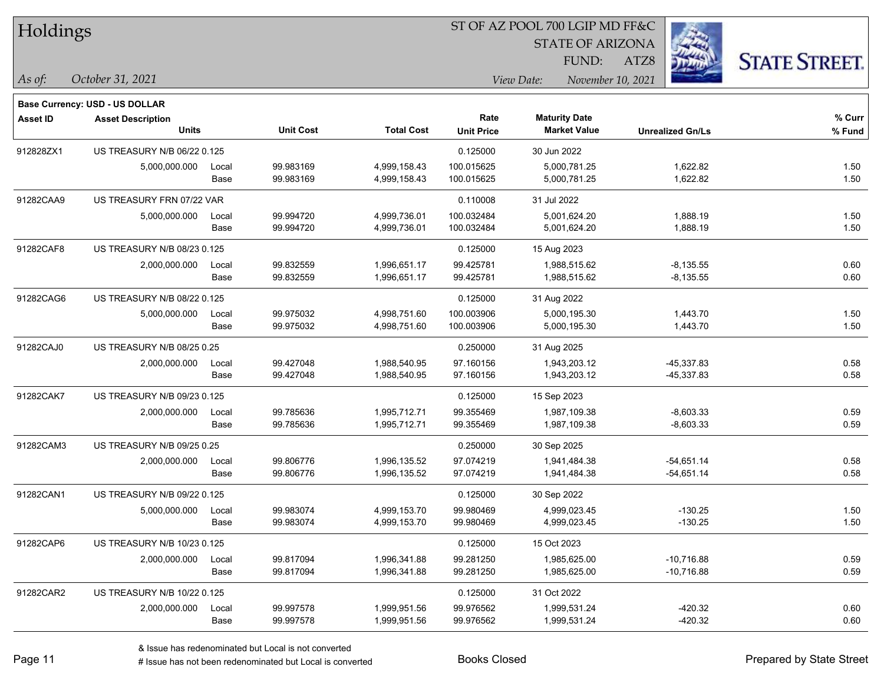|  | <b>Holdings</b> |
|--|-----------------|
|  |                 |

STATE OF ARIZONA

ATZ8



**Base Currency: USD - US DOLLAR**

| <b>Asset ID</b> | <b>Asset Description</b>    |       |                  |                   | Rate              | <b>Maturity Date</b> |                         | % Curr |
|-----------------|-----------------------------|-------|------------------|-------------------|-------------------|----------------------|-------------------------|--------|
|                 | <b>Units</b>                |       | <b>Unit Cost</b> | <b>Total Cost</b> | <b>Unit Price</b> | <b>Market Value</b>  | <b>Unrealized Gn/Ls</b> | % Fund |
| 912828ZX1       | US TREASURY N/B 06/22 0.125 |       |                  |                   | 0.125000          | 30 Jun 2022          |                         |        |
|                 | 5,000,000.000               | Local | 99.983169        | 4,999,158.43      | 100.015625        | 5,000,781.25         | 1,622.82                | 1.50   |
|                 |                             | Base  | 99.983169        | 4,999,158.43      | 100.015625        | 5,000,781.25         | 1,622.82                | 1.50   |
| 91282CAA9       | US TREASURY FRN 07/22 VAR   |       |                  |                   | 0.110008          | 31 Jul 2022          |                         |        |
|                 | 5,000,000.000               | Local | 99.994720        | 4,999,736.01      | 100.032484        | 5,001,624.20         | 1,888.19                | 1.50   |
|                 |                             | Base  | 99.994720        | 4,999,736.01      | 100.032484        | 5,001,624.20         | 1,888.19                | 1.50   |
| 91282CAF8       | US TREASURY N/B 08/23 0.125 |       |                  |                   | 0.125000          | 15 Aug 2023          |                         |        |
|                 | 2,000,000.000               | Local | 99.832559        | 1,996,651.17      | 99.425781         | 1,988,515.62         | $-8,135.55$             | 0.60   |
|                 |                             | Base  | 99.832559        | 1,996,651.17      | 99.425781         | 1,988,515.62         | $-8,135.55$             | 0.60   |
| 91282CAG6       | US TREASURY N/B 08/22 0.125 |       |                  |                   | 0.125000          | 31 Aug 2022          |                         |        |
|                 | 5,000,000.000               | Local | 99.975032        | 4,998,751.60      | 100.003906        | 5,000,195.30         | 1,443.70                | 1.50   |
|                 |                             | Base  | 99.975032        | 4,998,751.60      | 100.003906        | 5,000,195.30         | 1,443.70                | 1.50   |
| 91282CAJ0       | US TREASURY N/B 08/25 0.25  |       |                  |                   | 0.250000          | 31 Aug 2025          |                         |        |
|                 | 2,000,000.000               | Local | 99.427048        | 1,988,540.95      | 97.160156         | 1,943,203.12         | -45,337.83              | 0.58   |
|                 |                             | Base  | 99.427048        | 1,988,540.95      | 97.160156         | 1,943,203.12         | -45,337.83              | 0.58   |
| 91282CAK7       | US TREASURY N/B 09/23 0.125 |       |                  |                   | 0.125000          | 15 Sep 2023          |                         |        |
|                 | 2,000,000.000               | Local | 99.785636        | 1,995,712.71      | 99.355469         | 1,987,109.38         | $-8,603.33$             | 0.59   |
|                 |                             | Base  | 99.785636        | 1,995,712.71      | 99.355469         | 1,987,109.38         | $-8,603.33$             | 0.59   |
| 91282CAM3       | US TREASURY N/B 09/25 0.25  |       |                  |                   | 0.250000          | 30 Sep 2025          |                         |        |
|                 | 2,000,000.000               | Local | 99.806776        | 1,996,135.52      | 97.074219         | 1,941,484.38         | $-54,651.14$            | 0.58   |
|                 |                             | Base  | 99.806776        | 1,996,135.52      | 97.074219         | 1,941,484.38         | $-54,651.14$            | 0.58   |
| 91282CAN1       | US TREASURY N/B 09/22 0.125 |       |                  |                   | 0.125000          | 30 Sep 2022          |                         |        |
|                 | 5,000,000.000               | Local | 99.983074        | 4,999,153.70      | 99.980469         | 4,999,023.45         | $-130.25$               | 1.50   |
|                 |                             | Base  | 99.983074        | 4,999,153.70      | 99.980469         | 4,999,023.45         | $-130.25$               | 1.50   |
| 91282CAP6       | US TREASURY N/B 10/23 0.125 |       |                  |                   | 0.125000          | 15 Oct 2023          |                         |        |
|                 | 2,000,000.000               | Local | 99.817094        | 1,996,341.88      | 99.281250         | 1,985,625.00         | $-10,716.88$            | 0.59   |
|                 |                             | Base  | 99.817094        | 1,996,341.88      | 99.281250         | 1,985,625.00         | $-10,716.88$            | 0.59   |
| 91282CAR2       | US TREASURY N/B 10/22 0.125 |       |                  |                   | 0.125000          | 31 Oct 2022          |                         |        |
|                 | 2,000,000.000               | Local | 99.997578        | 1,999,951.56      | 99.976562         | 1,999,531.24         | $-420.32$               | 0.60   |
|                 |                             | Base  | 99.997578        | 1,999,951.56      | 99.976562         | 1,999,531.24         | $-420.32$               | 0.60   |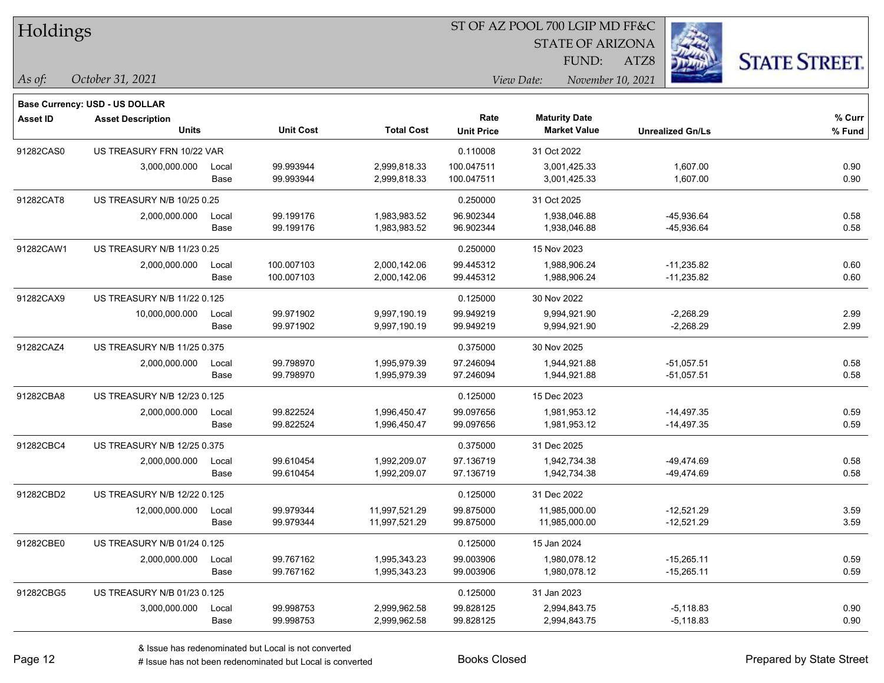|  | <b>Holdings</b> |
|--|-----------------|
|  |                 |

**Base Currency: USD - US DOLLAR**

#### ST OF AZ POOL 700 LGIP MD FF&C

STATE OF ARIZONA

ATZ8



| <b>Asset ID</b> | <b>Asset Description</b><br><b>Units</b> |               | <b>Unit Cost</b>         | <b>Total Cost</b>              | Rate<br><b>Unit Price</b> | <b>Maturity Date</b><br><b>Market Value</b> | <b>Unrealized Gn/Ls</b>      | % Curr<br>% Fund |
|-----------------|------------------------------------------|---------------|--------------------------|--------------------------------|---------------------------|---------------------------------------------|------------------------------|------------------|
| 91282CAS0       | US TREASURY FRN 10/22 VAR                |               |                          |                                | 0.110008                  | 31 Oct 2022                                 |                              |                  |
|                 | 3,000,000.000                            | Local<br>Base | 99.993944<br>99.993944   | 2,999,818.33<br>2,999,818.33   | 100.047511<br>100.047511  | 3,001,425.33<br>3,001,425.33                | 1,607.00<br>1,607.00         | 0.90<br>0.90     |
| 91282CAT8       | US TREASURY N/B 10/25 0.25               |               |                          |                                | 0.250000                  | 31 Oct 2025                                 |                              |                  |
|                 | 2,000,000.000                            | Local<br>Base | 99.199176<br>99.199176   | 1,983,983.52<br>1,983,983.52   | 96.902344<br>96.902344    | 1,938,046.88<br>1,938,046.88                | -45,936.64<br>-45,936.64     | 0.58<br>0.58     |
| 91282CAW1       | <b>US TREASURY N/B 11/23 0.25</b>        |               |                          |                                | 0.250000                  | 15 Nov 2023                                 |                              |                  |
|                 | 2,000,000.000                            | Local<br>Base | 100.007103<br>100.007103 | 2,000,142.06<br>2,000,142.06   | 99.445312<br>99.445312    | 1,988,906.24<br>1,988,906.24                | $-11,235.82$<br>$-11,235.82$ | 0.60<br>0.60     |
| 91282CAX9       | US TREASURY N/B 11/22 0.125              |               |                          |                                | 0.125000                  | 30 Nov 2022                                 |                              |                  |
|                 | 10,000,000.000                           | Local<br>Base | 99.971902<br>99.971902   | 9,997,190.19<br>9,997,190.19   | 99.949219<br>99.949219    | 9,994,921.90<br>9,994,921.90                | $-2,268.29$<br>$-2,268.29$   | 2.99<br>2.99     |
| 91282CAZ4       | US TREASURY N/B 11/25 0.375              |               |                          |                                | 0.375000                  | 30 Nov 2025                                 |                              |                  |
|                 | 2,000,000.000                            | Local<br>Base | 99.798970<br>99.798970   | 1,995,979.39<br>1,995,979.39   | 97.246094<br>97.246094    | 1,944,921.88<br>1,944,921.88                | $-51,057.51$<br>$-51,057.51$ | 0.58<br>0.58     |
| 91282CBA8       | US TREASURY N/B 12/23 0.125              |               |                          |                                | 0.125000                  | 15 Dec 2023                                 |                              |                  |
|                 | 2,000,000.000                            | Local<br>Base | 99.822524<br>99.822524   | 1,996,450.47<br>1,996,450.47   | 99.097656<br>99.097656    | 1,981,953.12<br>1,981,953.12                | $-14,497.35$<br>$-14,497.35$ | 0.59<br>0.59     |
| 91282CBC4       | US TREASURY N/B 12/25 0.375              |               |                          |                                | 0.375000                  | 31 Dec 2025                                 |                              |                  |
|                 | 2,000,000.000                            | Local<br>Base | 99.610454<br>99.610454   | 1,992,209.07<br>1,992,209.07   | 97.136719<br>97.136719    | 1,942,734.38<br>1,942,734.38                | -49,474.69<br>-49,474.69     | 0.58<br>0.58     |
| 91282CBD2       | US TREASURY N/B 12/22 0.125              |               |                          |                                | 0.125000                  | 31 Dec 2022                                 |                              |                  |
|                 | 12,000,000.000                           | Local<br>Base | 99.979344<br>99.979344   | 11,997,521.29<br>11,997,521.29 | 99.875000<br>99.875000    | 11,985,000.00<br>11,985,000.00              | $-12,521.29$<br>$-12,521.29$ | 3.59<br>3.59     |
| 91282CBE0       | US TREASURY N/B 01/24 0.125              |               |                          |                                | 0.125000                  | 15 Jan 2024                                 |                              |                  |
|                 | 2,000,000.000                            | Local<br>Base | 99.767162<br>99.767162   | 1,995,343.23<br>1,995,343.23   | 99.003906<br>99.003906    | 1,980,078.12<br>1,980,078.12                | $-15,265.11$<br>$-15,265.11$ | 0.59<br>0.59     |
| 91282CBG5       | US TREASURY N/B 01/23 0.125              |               |                          |                                | 0.125000                  | 31 Jan 2023                                 |                              |                  |
|                 | 3,000,000.000                            | Local<br>Base | 99.998753<br>99.998753   | 2,999,962.58<br>2,999,962.58   | 99.828125<br>99.828125    | 2,994,843.75<br>2,994,843.75                | $-5,118.83$<br>$-5,118.83$   | 0.90<br>0.90     |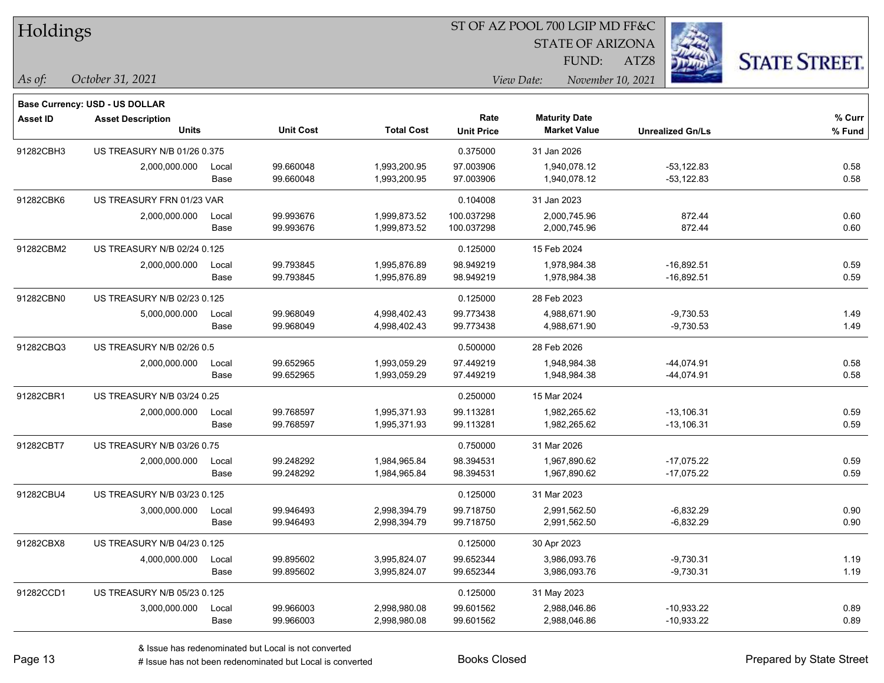|  | <b>Holdings</b> |
|--|-----------------|
|  |                 |

STATE OF ARIZONA

ATZ8



**Base Currency: USD - US DOLLAR**

| <b>Asset ID</b> | <b>Asset Description</b>    |       |                  |                   | Rate              | <b>Maturity Date</b> |                         | % Curr |
|-----------------|-----------------------------|-------|------------------|-------------------|-------------------|----------------------|-------------------------|--------|
|                 | <b>Units</b>                |       | <b>Unit Cost</b> | <b>Total Cost</b> | <b>Unit Price</b> | <b>Market Value</b>  | <b>Unrealized Gn/Ls</b> | % Fund |
| 91282CBH3       | US TREASURY N/B 01/26 0.375 |       |                  |                   | 0.375000          | 31 Jan 2026          |                         |        |
|                 | 2,000,000.000               | Local | 99.660048        | 1,993,200.95      | 97.003906         | 1,940,078.12         | $-53,122.83$            | 0.58   |
|                 |                             | Base  | 99.660048        | 1,993,200.95      | 97.003906         | 1,940,078.12         | -53,122.83              | 0.58   |
| 91282CBK6       | US TREASURY FRN 01/23 VAR   |       |                  |                   | 0.104008          | 31 Jan 2023          |                         |        |
|                 | 2,000,000.000               | Local | 99.993676        | 1,999,873.52      | 100.037298        | 2,000,745.96         | 872.44                  | 0.60   |
|                 |                             | Base  | 99.993676        | 1,999,873.52      | 100.037298        | 2,000,745.96         | 872.44                  | 0.60   |
| 91282CBM2       | US TREASURY N/B 02/24 0.125 |       |                  |                   | 0.125000          | 15 Feb 2024          |                         |        |
|                 | 2,000,000.000               | Local | 99.793845        | 1,995,876.89      | 98.949219         | 1,978,984.38         | $-16,892.51$            | 0.59   |
|                 |                             | Base  | 99.793845        | 1,995,876.89      | 98.949219         | 1,978,984.38         | $-16,892.51$            | 0.59   |
| 91282CBN0       | US TREASURY N/B 02/23 0.125 |       |                  |                   | 0.125000          | 28 Feb 2023          |                         |        |
|                 | 5,000,000.000               | Local | 99.968049        | 4,998,402.43      | 99.773438         | 4,988,671.90         | $-9,730.53$             | 1.49   |
|                 |                             | Base  | 99.968049        | 4,998,402.43      | 99.773438         | 4,988,671.90         | $-9,730.53$             | 1.49   |
| 91282CBQ3       | US TREASURY N/B 02/26 0.5   |       |                  |                   | 0.500000          | 28 Feb 2026          |                         |        |
|                 | 2,000,000.000               | Local | 99.652965        | 1,993,059.29      | 97.449219         | 1,948,984.38         | $-44,074.91$            | 0.58   |
|                 |                             | Base  | 99.652965        | 1,993,059.29      | 97.449219         | 1,948,984.38         | -44,074.91              | 0.58   |
| 91282CBR1       | US TREASURY N/B 03/24 0.25  |       |                  |                   | 0.250000          | 15 Mar 2024          |                         |        |
|                 | 2,000,000.000               | Local | 99.768597        | 1,995,371.93      | 99.113281         | 1,982,265.62         | $-13,106.31$            | 0.59   |
|                 |                             | Base  | 99.768597        | 1,995,371.93      | 99.113281         | 1,982,265.62         | $-13,106.31$            | 0.59   |
| 91282CBT7       | US TREASURY N/B 03/26 0.75  |       |                  |                   | 0.750000          | 31 Mar 2026          |                         |        |
|                 | 2,000,000.000               | Local | 99.248292        | 1,984,965.84      | 98.394531         | 1,967,890.62         | $-17,075.22$            | 0.59   |
|                 |                             | Base  | 99.248292        | 1,984,965.84      | 98.394531         | 1,967,890.62         | $-17,075.22$            | 0.59   |
| 91282CBU4       | US TREASURY N/B 03/23 0.125 |       |                  |                   | 0.125000          | 31 Mar 2023          |                         |        |
|                 | 3,000,000.000               | Local | 99.946493        | 2,998,394.79      | 99.718750         | 2,991,562.50         | $-6,832.29$             | 0.90   |
|                 |                             | Base  | 99.946493        | 2,998,394.79      | 99.718750         | 2,991,562.50         | $-6,832.29$             | 0.90   |
| 91282CBX8       | US TREASURY N/B 04/23 0.125 |       |                  |                   | 0.125000          | 30 Apr 2023          |                         |        |
|                 | 4,000,000.000               | Local | 99.895602        | 3,995,824.07      | 99.652344         | 3,986,093.76         | $-9,730.31$             | 1.19   |
|                 |                             | Base  | 99.895602        | 3,995,824.07      | 99.652344         | 3,986,093.76         | $-9,730.31$             | 1.19   |
| 91282CCD1       | US TREASURY N/B 05/23 0.125 |       |                  |                   | 0.125000          | 31 May 2023          |                         |        |
|                 | 3,000,000.000               | Local | 99.966003        | 2,998,980.08      | 99.601562         | 2,988,046.86         | $-10,933.22$            | 0.89   |
|                 |                             | Base  | 99.966003        | 2,998,980.08      | 99.601562         | 2,988,046.86         | $-10,933.22$            | 0.89   |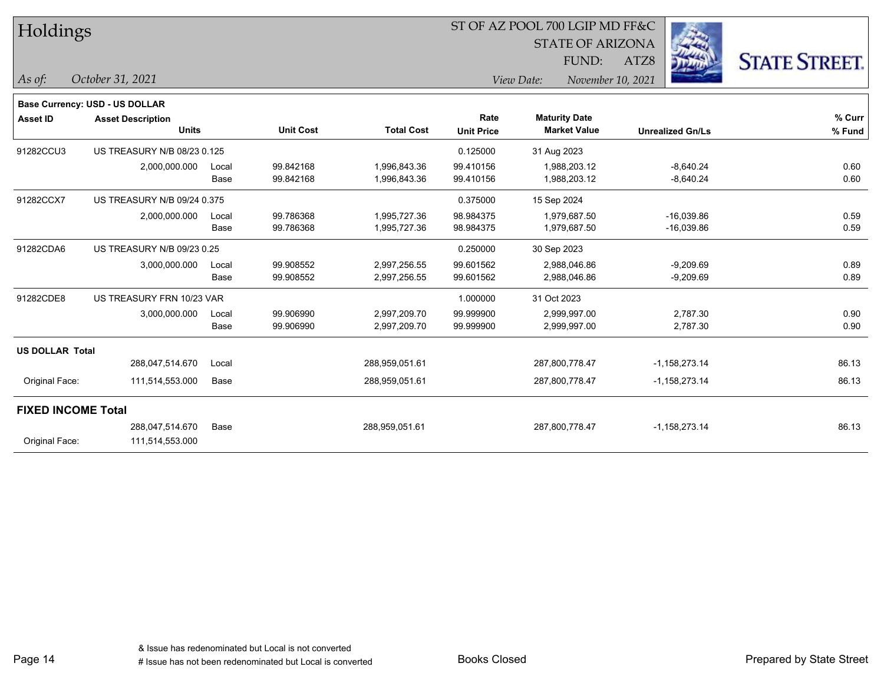| Holdings |
|----------|
|----------|

STATE OF ARIZONA

ATZ8



*As of: View Date: November 10, 2021*

FUND:

| As of: | October 31, 2021 |  |
|--------|------------------|--|
|        |                  |  |

| <b>Base Currency: USD - US DOLLAR</b> |                             |       |                  |                   |                   |                      |                         |        |
|---------------------------------------|-----------------------------|-------|------------------|-------------------|-------------------|----------------------|-------------------------|--------|
| <b>Asset ID</b>                       | <b>Asset Description</b>    |       |                  |                   | Rate              | <b>Maturity Date</b> |                         | % Curr |
|                                       | <b>Units</b>                |       | <b>Unit Cost</b> | <b>Total Cost</b> | <b>Unit Price</b> | <b>Market Value</b>  | <b>Unrealized Gn/Ls</b> | % Fund |
| 91282CCU3                             | US TREASURY N/B 08/23 0.125 |       |                  |                   | 0.125000          | 31 Aug 2023          |                         |        |
|                                       | 2,000,000.000               | Local | 99.842168        | 1,996,843.36      | 99.410156         | 1,988,203.12         | $-8,640.24$             | 0.60   |
|                                       |                             | Base  | 99.842168        | 1,996,843.36      | 99.410156         | 1,988,203.12         | $-8,640.24$             | 0.60   |
| 91282CCX7                             | US TREASURY N/B 09/24 0.375 |       |                  |                   | 0.375000          | 15 Sep 2024          |                         |        |
|                                       | 2,000,000.000               | Local | 99.786368        | 1,995,727.36      | 98.984375         | 1,979,687.50         | $-16,039.86$            | 0.59   |
|                                       |                             | Base  | 99.786368        | 1,995,727.36      | 98.984375         | 1,979,687.50         | $-16,039.86$            | 0.59   |
| 91282CDA6                             | US TREASURY N/B 09/23 0.25  |       |                  |                   | 0.250000          | 30 Sep 2023          |                         |        |
|                                       | 3,000,000.000               | Local | 99.908552        | 2,997,256.55      | 99.601562         | 2,988,046.86         | $-9,209.69$             | 0.89   |
|                                       |                             | Base  | 99.908552        | 2,997,256.55      | 99.601562         | 2,988,046.86         | $-9,209.69$             | 0.89   |
| 91282CDE8                             | US TREASURY FRN 10/23 VAR   |       |                  |                   | 1.000000          | 31 Oct 2023          |                         |        |
|                                       | 3,000,000.000               | Local | 99.906990        | 2,997,209.70      | 99.999900         | 2,999,997.00         | 2,787.30                | 0.90   |
|                                       |                             | Base  | 99.906990        | 2,997,209.70      | 99.999900         | 2,999,997.00         | 2,787.30                | 0.90   |
| <b>US DOLLAR Total</b>                |                             |       |                  |                   |                   |                      |                         |        |
|                                       | 288,047,514.670             | Local |                  | 288,959,051.61    |                   | 287,800,778.47       | $-1,158,273.14$         | 86.13  |
| Original Face:                        | 111,514,553.000             | Base  |                  | 288,959,051.61    |                   | 287,800,778.47       | $-1,158,273.14$         | 86.13  |
| <b>FIXED INCOME Total</b>             |                             |       |                  |                   |                   |                      |                         |        |
|                                       | 288,047,514.670             | Base  |                  | 288,959,051.61    |                   | 287,800,778.47       | $-1,158,273.14$         | 86.13  |
| Original Face:                        | 111,514,553.000             |       |                  |                   |                   |                      |                         |        |
|                                       |                             |       |                  |                   |                   |                      |                         |        |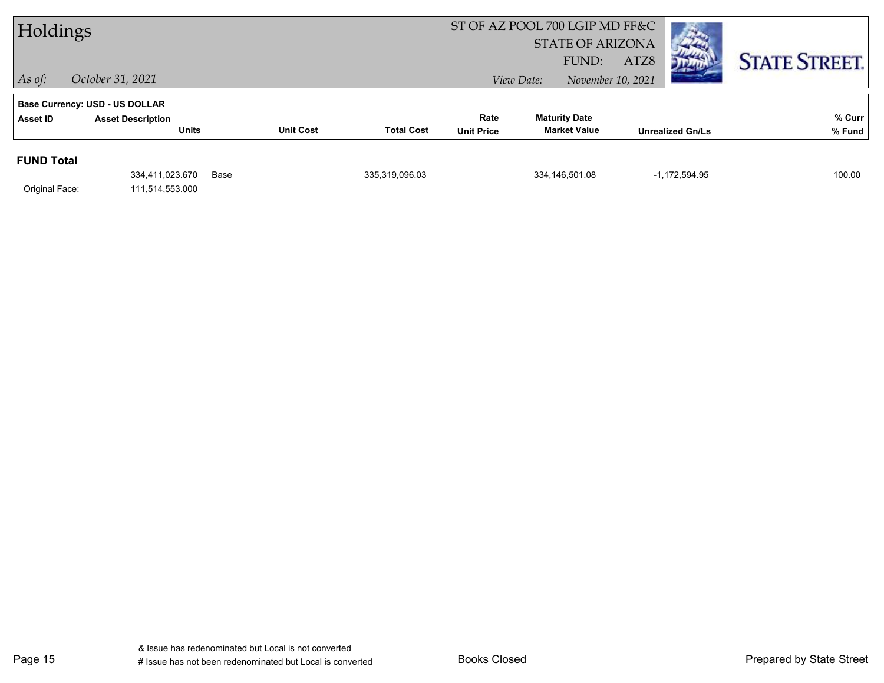| Holdings          |                                          |      | ST OF AZ POOL 700 LGIP MD FF&C<br><b>STATE OF ARIZONA</b> |                                                |                                             |                   |                         |                      |
|-------------------|------------------------------------------|------|-----------------------------------------------------------|------------------------------------------------|---------------------------------------------|-------------------|-------------------------|----------------------|
|                   |                                          |      |                                                           |                                                | FUND:                                       | ATZ8              |                         | <b>STATE STREET.</b> |
| $\vert$ As of:    | October 31, 2021                         |      |                                                           |                                                | View Date:                                  | November 10, 2021 |                         |                      |
|                   | <b>Base Currency: USD - US DOLLAR</b>    |      |                                                           |                                                |                                             |                   |                         |                      |
| Asset ID          | <b>Asset Description</b><br><b>Units</b> |      | <b>Unit Cost</b>                                          | Rate<br><b>Total Cost</b><br><b>Unit Price</b> | <b>Maturity Date</b><br><b>Market Value</b> |                   | <b>Unrealized Gn/Ls</b> | % Curr<br>% Fund     |
| <b>FUND Total</b> |                                          |      |                                                           |                                                |                                             |                   |                         |                      |
|                   | 334,411,023.670                          | Base | 335,319,096.03                                            |                                                | 334,146,501.08                              |                   | -1,172,594.95           | 100.00               |
| Original Face:    | 111,514,553.000                          |      |                                                           |                                                |                                             |                   |                         |                      |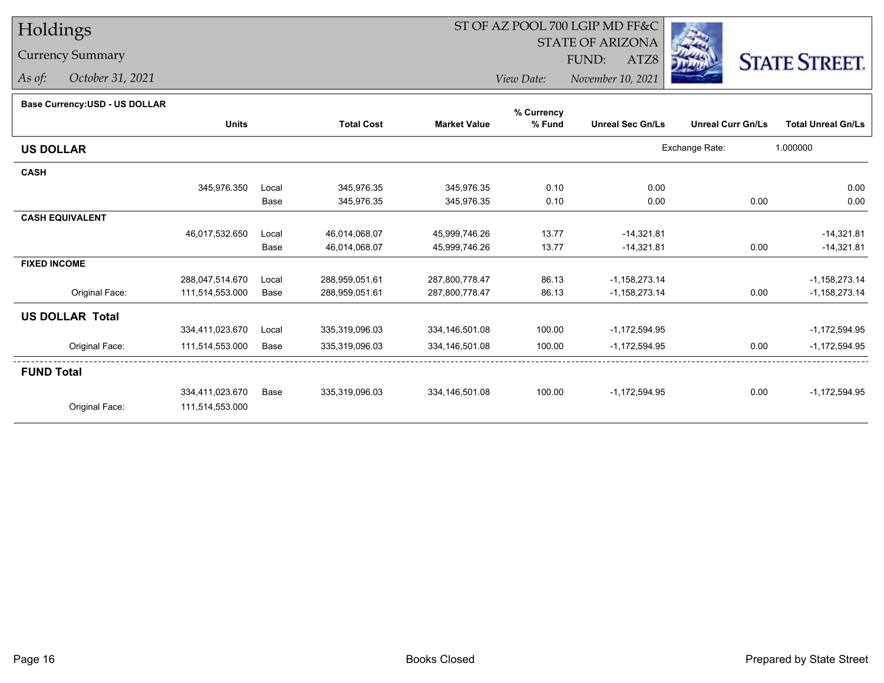### Currency Summary

*As of: October 31, 2021*

## ST OF AZ POOL 700 LGIP MD FF&C

STATE OF ARIZONA

ATZ8



*View Date: November 10, 2021*FUND:

| Base Currency: USD - US DOLLAR |  |
|--------------------------------|--|

| Base Currency.03D - 03 DOLLAR |                 |       |                   |                     | % Currency |                         |                          |                           |
|-------------------------------|-----------------|-------|-------------------|---------------------|------------|-------------------------|--------------------------|---------------------------|
|                               | <b>Units</b>    |       | <b>Total Cost</b> | <b>Market Value</b> | % Fund     | <b>Unreal Sec Gn/Ls</b> | <b>Unreal Curr Gn/Ls</b> | <b>Total Unreal Gn/Ls</b> |
| <b>US DOLLAR</b>              |                 |       |                   |                     |            |                         | Exchange Rate:           | 1.000000                  |
| <b>CASH</b>                   |                 |       |                   |                     |            |                         |                          |                           |
|                               | 345,976.350     | Local | 345,976.35        | 345,976.35          | 0.10       | 0.00                    |                          | 0.00                      |
|                               |                 | Base  | 345,976.35        | 345,976.35          | 0.10       | 0.00                    | 0.00                     | 0.00                      |
| <b>CASH EQUIVALENT</b>        |                 |       |                   |                     |            |                         |                          |                           |
|                               | 46,017,532.650  | Local | 46,014,068.07     | 45,999,746.26       | 13.77      | $-14,321.81$            |                          | $-14,321.81$              |
|                               |                 | Base  | 46,014,068.07     | 45,999,746.26       | 13.77      | $-14,321.81$            | 0.00                     | $-14,321.81$              |
| <b>FIXED INCOME</b>           |                 |       |                   |                     |            |                         |                          |                           |
|                               | 288,047,514.670 | Local | 288,959,051.61    | 287,800,778.47      | 86.13      | $-1,158,273.14$         |                          | $-1,158,273.14$           |
| Original Face:                | 111,514,553.000 | Base  | 288,959,051.61    | 287,800,778.47      | 86.13      | $-1,158,273.14$         | 0.00                     | $-1,158,273.14$           |
| <b>US DOLLAR Total</b>        |                 |       |                   |                     |            |                         |                          |                           |
|                               | 334,411,023.670 | Local | 335,319,096.03    | 334,146,501.08      | 100.00     | $-1,172,594.95$         |                          | $-1,172,594.95$           |
| Original Face:                | 111,514,553.000 | Base  | 335,319,096.03    | 334, 146, 501.08    | 100.00     | $-1,172,594.95$         | 0.00                     | $-1,172,594.95$           |
| <b>FUND Total</b>             |                 |       |                   |                     |            |                         |                          |                           |
|                               | 334,411,023.670 | Base  | 335,319,096.03    | 334,146,501.08      | 100.00     | $-1,172,594.95$         | 0.00                     | $-1,172,594.95$           |
| Original Face:                | 111,514,553.000 |       |                   |                     |            |                         |                          |                           |
|                               |                 |       |                   |                     |            |                         |                          |                           |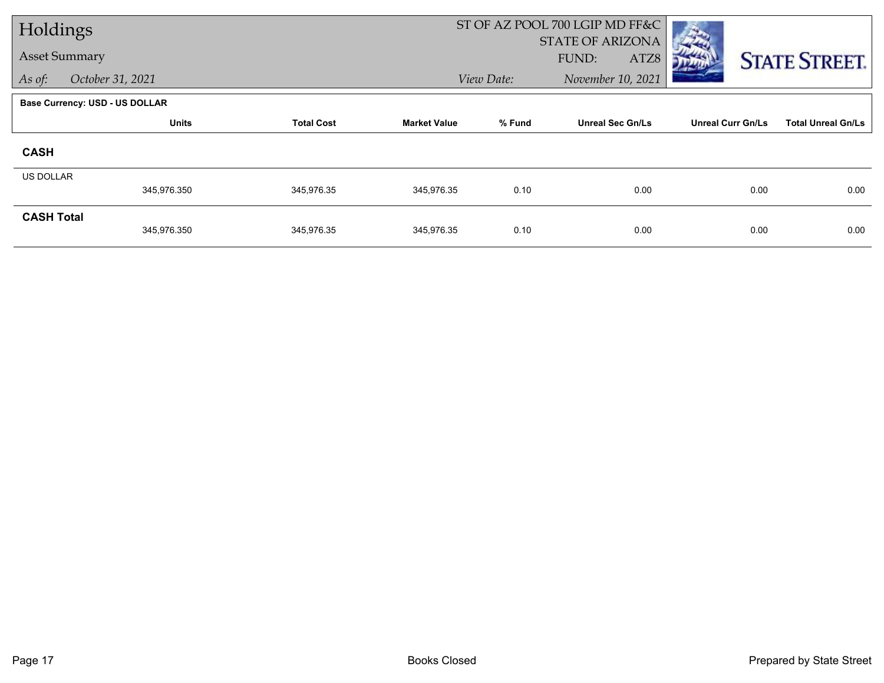| Holdings             |                                       |                   | ST OF AZ POOL 700 LGIP MD FF&C |            |                                          |                          |                           |
|----------------------|---------------------------------------|-------------------|--------------------------------|------------|------------------------------------------|--------------------------|---------------------------|
| <b>Asset Summary</b> |                                       |                   |                                |            | <b>STATE OF ARIZONA</b><br>ATZ8<br>FUND: |                          |                           |
| As of:               | October 31, 2021                      |                   |                                | View Date: | November 10, 2021                        |                          | <b>STATE STREET.</b>      |
|                      |                                       |                   |                                |            |                                          |                          |                           |
|                      | <b>Base Currency: USD - US DOLLAR</b> |                   |                                |            |                                          |                          |                           |
|                      | <b>Units</b>                          | <b>Total Cost</b> | <b>Market Value</b>            | % Fund     | <b>Unreal Sec Gn/Ls</b>                  | <b>Unreal Curr Gn/Ls</b> | <b>Total Unreal Gn/Ls</b> |
| <b>CASH</b>          |                                       |                   |                                |            |                                          |                          |                           |
| <b>US DOLLAR</b>     |                                       |                   |                                |            |                                          |                          |                           |
|                      | 345,976.350                           | 345,976.35        | 345,976.35                     | 0.10       | 0.00                                     | 0.00                     | 0.00                      |
| <b>CASH Total</b>    |                                       |                   |                                |            |                                          |                          |                           |
|                      | 345,976.350                           | 345,976.35        | 345,976.35                     | 0.10       | 0.00                                     | 0.00                     | 0.00                      |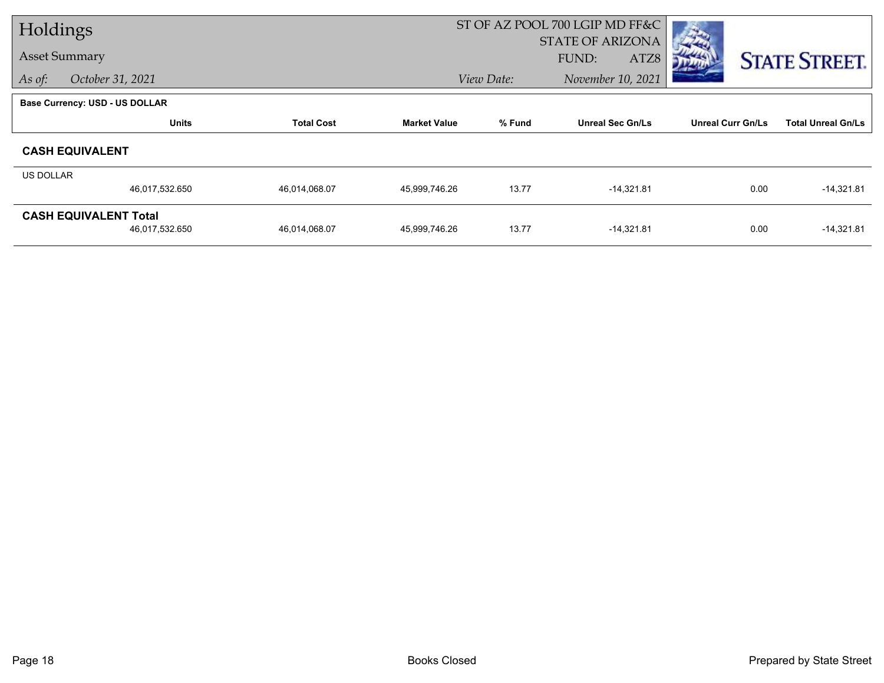| Holdings  |                                       |                   |                     | ST OF AZ POOL 700 LGIP MD FF&C |                         |                          |                           |
|-----------|---------------------------------------|-------------------|---------------------|--------------------------------|-------------------------|--------------------------|---------------------------|
|           |                                       |                   |                     |                                | <b>STATE OF ARIZONA</b> |                          |                           |
|           | <b>Asset Summary</b>                  |                   |                     |                                | FUND:<br>ATZ8           |                          | <b>STATE STREET.</b>      |
| As of:    | October 31, 2021                      |                   |                     | View Date:                     | November 10, 2021       |                          |                           |
|           | <b>Base Currency: USD - US DOLLAR</b> |                   |                     |                                |                         |                          |                           |
|           | <b>Units</b>                          | <b>Total Cost</b> | <b>Market Value</b> | % Fund                         | <b>Unreal Sec Gn/Ls</b> | <b>Unreal Curr Gn/Ls</b> | <b>Total Unreal Gn/Ls</b> |
|           | <b>CASH EQUIVALENT</b>                |                   |                     |                                |                         |                          |                           |
| US DOLLAR |                                       |                   |                     |                                |                         |                          |                           |
|           | 46,017,532.650                        | 46,014,068.07     | 45,999,746.26       | 13.77                          | $-14,321.81$            | 0.00                     | $-14,321.81$              |
|           | <b>CASH EQUIVALENT Total</b>          |                   |                     |                                |                         |                          |                           |
|           | 46,017,532.650                        | 46,014,068.07     | 45,999,746.26       | 13.77                          | $-14,321.81$            | 0.00                     | $-14,321.81$              |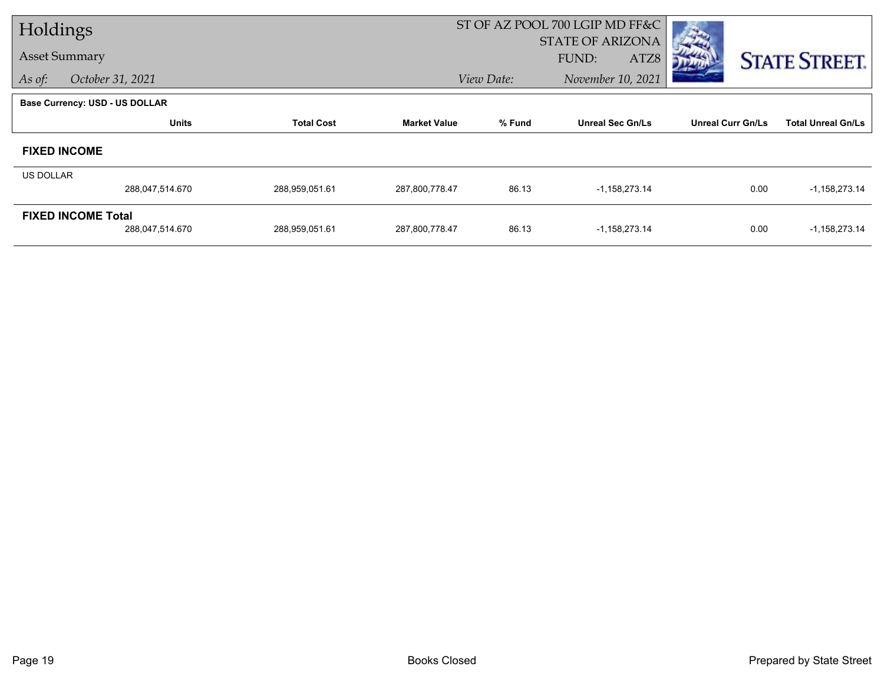| Holdings         |                                       |                   | ST OF AZ POOL 700 LGIP MD FF&C |            |                         |                          |                           |
|------------------|---------------------------------------|-------------------|--------------------------------|------------|-------------------------|--------------------------|---------------------------|
|                  |                                       |                   |                                |            | <b>STATE OF ARIZONA</b> |                          |                           |
|                  | <b>Asset Summary</b>                  |                   |                                |            | FUND:<br>ATZ8           |                          | <b>STATE STREET.</b>      |
| As of:           | October 31, 2021                      |                   |                                | View Date: | November 10, 2021       |                          |                           |
|                  | <b>Base Currency: USD - US DOLLAR</b> |                   |                                |            |                         |                          |                           |
|                  | <b>Units</b>                          | <b>Total Cost</b> | <b>Market Value</b>            | % Fund     | <b>Unreal Sec Gn/Ls</b> | <b>Unreal Curr Gn/Ls</b> | <b>Total Unreal Gn/Ls</b> |
|                  | <b>FIXED INCOME</b>                   |                   |                                |            |                         |                          |                           |
| <b>US DOLLAR</b> |                                       |                   |                                |            |                         |                          |                           |
|                  | 288,047,514.670                       | 288,959,051.61    | 287,800,778.47                 | 86.13      | $-1,158,273.14$         | 0.00                     | $-1,158,273.14$           |
|                  | <b>FIXED INCOME Total</b>             |                   |                                |            |                         |                          |                           |
|                  | 288,047,514.670                       | 288,959,051.61    | 287,800,778.47                 | 86.13      | $-1,158,273.14$         | 0.00                     | $-1,158,273.14$           |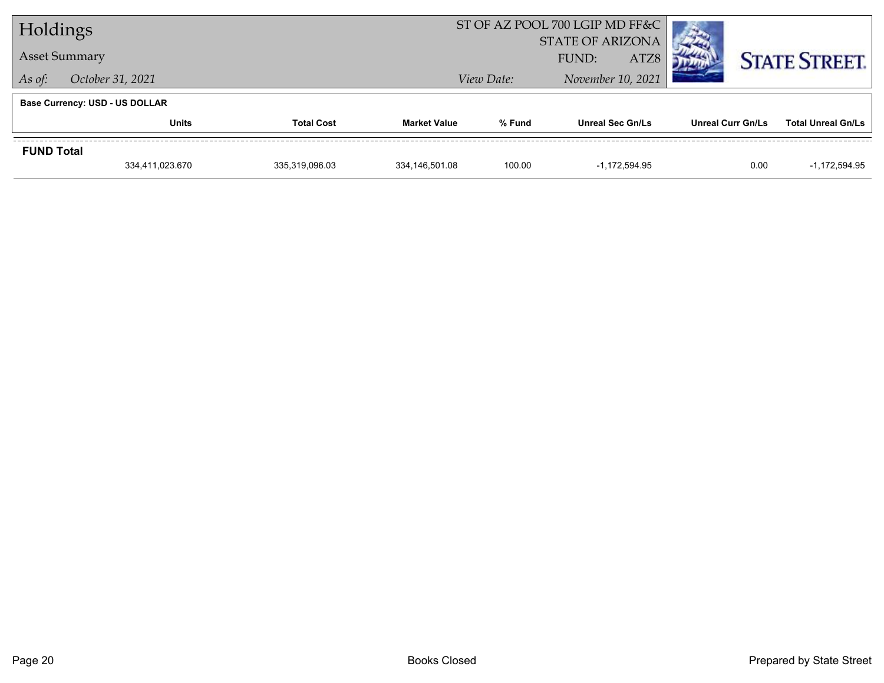|                      | Holdings                              |                   |                     |            | ST OF AZ POOL 700 LGIP MD FF&C |                   |                           |
|----------------------|---------------------------------------|-------------------|---------------------|------------|--------------------------------|-------------------|---------------------------|
|                      |                                       |                   |                     |            | <b>STATE OF ARIZONA</b>        |                   |                           |
| <b>Asset Summary</b> |                                       |                   |                     |            | ATZ8<br>FUND:                  |                   | <b>STATE STREET.</b>      |
| As of:               | October 31, 2021                      |                   |                     | View Date: | November 10, 2021              |                   |                           |
|                      | <b>Base Currency: USD - US DOLLAR</b> |                   |                     |            |                                |                   |                           |
|                      | <b>Units</b>                          | <b>Total Cost</b> | <b>Market Value</b> | % Fund     | <b>Unreal Sec Gn/Ls</b>        | Unreal Curr Gn/Ls | <b>Total Unreal Gn/Ls</b> |
| <b>FUND Total</b>    |                                       |                   |                     |            |                                |                   |                           |
|                      | 334,411,023.670                       | 335.319.096.03    | 334.146.501.08      | 100.00     | $-1.172.594.95$                | 0.00              | $-1.172.594.95$           |